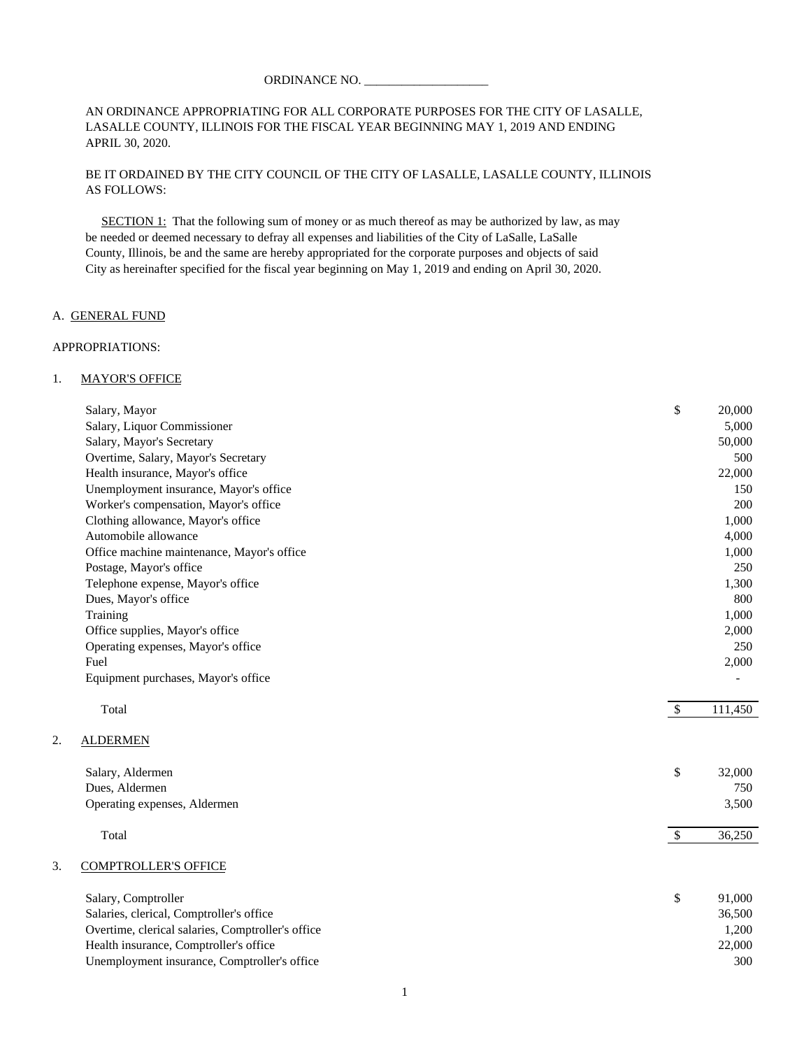#### ORDINANCE NO. \_\_\_\_\_\_\_\_\_\_\_\_\_\_\_\_\_\_\_\_

#### AN ORDINANCE APPROPRIATING FOR ALL CORPORATE PURPOSES FOR THE CITY OF LASALLE, LASALLE COUNTY, ILLINOIS FOR THE FISCAL YEAR BEGINNING MAY 1, 2019 AND ENDING APRIL 30, 2020.

# BE IT ORDAINED BY THE CITY COUNCIL OF THE CITY OF LASALLE, LASALLE COUNTY, ILLINOIS AS FOLLOWS:

SECTION 1: That the following sum of money or as much thereof as may be authorized by law, as may be needed or deemed necessary to defray all expenses and liabilities of the City of LaSalle, LaSalle County, Illinois, be and the same are hereby appropriated for the corporate purposes and objects of said City as hereinafter specified for the fiscal year beginning on May 1, 2019 and ending on April 30, 2020.

#### A. GENERAL FUND

#### APPROPRIATIONS:

 $2.$ 

#### 1. MAYOR'S OFFICE

|    | Salary, Mayor                                     | \$            | 20,000  |
|----|---------------------------------------------------|---------------|---------|
|    | Salary, Liquor Commissioner                       |               | 5,000   |
|    | Salary, Mayor's Secretary                         |               | 50,000  |
|    | Overtime, Salary, Mayor's Secretary               |               | 500     |
|    | Health insurance, Mayor's office                  |               | 22,000  |
|    | Unemployment insurance, Mayor's office            |               | 150     |
|    | Worker's compensation, Mayor's office             |               | 200     |
|    | Clothing allowance, Mayor's office                |               | 1,000   |
|    | Automobile allowance                              |               | 4,000   |
|    | Office machine maintenance, Mayor's office        |               | 1,000   |
|    | Postage, Mayor's office                           |               | 250     |
|    | Telephone expense, Mayor's office                 |               | 1,300   |
|    | Dues, Mayor's office                              |               | 800     |
|    | Training                                          |               | 1,000   |
|    | Office supplies, Mayor's office                   |               | 2,000   |
|    | Operating expenses, Mayor's office                |               | 250     |
|    | Fuel                                              |               | 2,000   |
|    | Equipment purchases, Mayor's office               |               |         |
|    | Total                                             | $\mathcal{S}$ | 111,450 |
| 2. | <b>ALDERMEN</b>                                   |               |         |
|    | Salary, Aldermen                                  | \$            | 32,000  |
|    | Dues, Aldermen                                    |               | 750     |
|    | Operating expenses, Aldermen                      |               | 3,500   |
|    | Total                                             | $\mathcal{S}$ | 36,250  |
| 3. | <b>COMPTROLLER'S OFFICE</b>                       |               |         |
|    | Salary, Comptroller                               | \$            | 91,000  |
|    | Salaries, clerical, Comptroller's office          |               | 36,500  |
|    | Overtime, clerical salaries, Comptroller's office |               | 1,200   |
|    | Health insurance, Comptroller's office            |               | 22,000  |
|    | Unemployment insurance, Comptroller's office      |               | 300     |
|    |                                                   |               |         |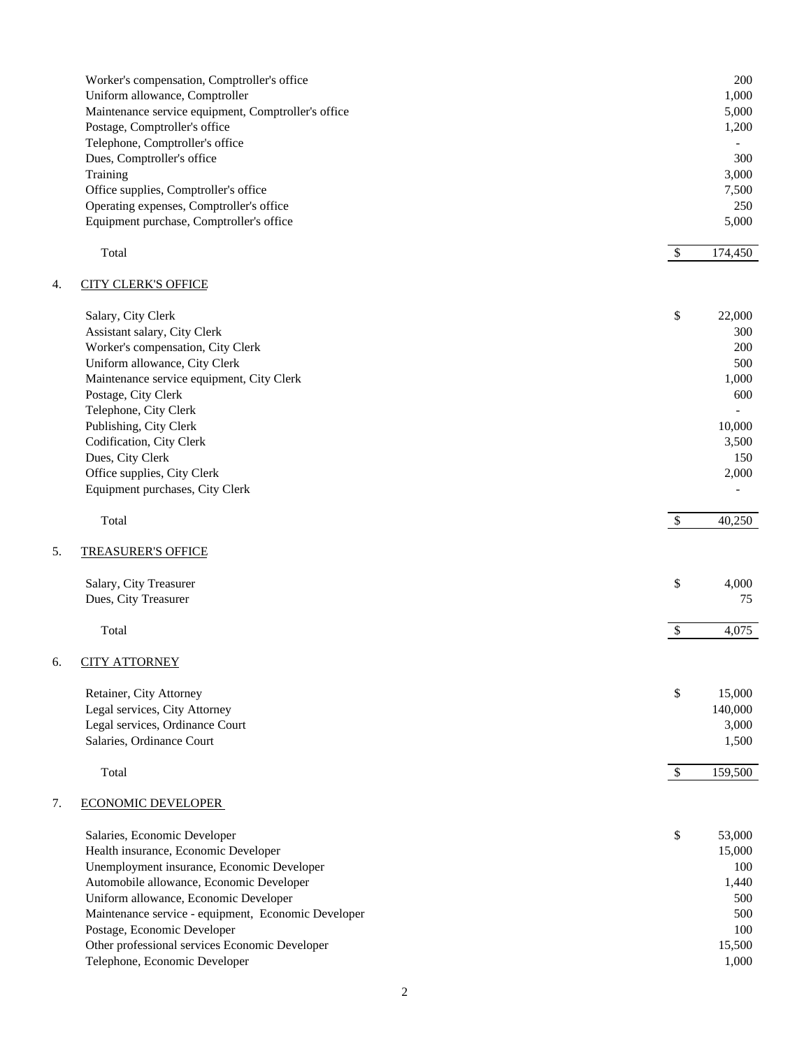|    | Worker's compensation, Comptroller's office<br>Uniform allowance, Comptroller        |                           | 200<br>1,000   |
|----|--------------------------------------------------------------------------------------|---------------------------|----------------|
|    | Maintenance service equipment, Comptroller's office<br>Postage, Comptroller's office |                           | 5,000<br>1,200 |
|    | Telephone, Comptroller's office                                                      |                           |                |
|    | Dues, Comptroller's office                                                           |                           | 300            |
|    | Training                                                                             |                           | 3,000          |
|    | Office supplies, Comptroller's office                                                |                           | 7,500          |
|    | Operating expenses, Comptroller's office                                             |                           | 250            |
|    | Equipment purchase, Comptroller's office                                             |                           | 5,000          |
|    |                                                                                      |                           |                |
|    | Total                                                                                | $\boldsymbol{\mathsf{S}}$ | 174,450        |
|    |                                                                                      |                           |                |
| 4. | <b>CITY CLERK'S OFFICE</b>                                                           |                           |                |
|    | Salary, City Clerk                                                                   | $\mathbb{S}$              | 22,000         |
|    | Assistant salary, City Clerk                                                         |                           | 300            |
|    | Worker's compensation, City Clerk                                                    |                           | 200            |
|    | Uniform allowance, City Clerk                                                        |                           | 500            |
|    | Maintenance service equipment, City Clerk                                            |                           | 1,000          |
|    | Postage, City Clerk                                                                  |                           | 600            |
|    | Telephone, City Clerk                                                                |                           |                |
|    | Publishing, City Clerk                                                               |                           | 10,000         |
|    | Codification, City Clerk                                                             |                           | 3,500          |
|    | Dues, City Clerk                                                                     |                           | 150            |
|    | Office supplies, City Clerk<br>Equipment purchases, City Clerk                       |                           | 2,000          |
|    |                                                                                      |                           |                |
|    | Total                                                                                | $\mathcal{S}$             | 40,250         |
| 5. | <b>TREASURER'S OFFICE</b>                                                            |                           |                |
|    | Salary, City Treasurer                                                               | \$                        | 4,000          |
|    | Dues, City Treasurer                                                                 |                           | 75             |
|    |                                                                                      |                           |                |
|    | Total                                                                                | $\boldsymbol{\mathsf{S}}$ | 4,075          |
| 6. | <b>CITY ATTORNEY</b>                                                                 |                           |                |
|    | Retainer, City Attorney                                                              | \$                        | 15,000         |
|    | Legal services, City Attorney                                                        |                           | 140,000        |
|    | Legal services, Ordinance Court                                                      |                           | 3,000          |
|    | Salaries, Ordinance Court                                                            |                           | 1,500          |
|    | Total                                                                                | $\mathcal{S}$             | 159,500        |
| 7. | <b>ECONOMIC DEVELOPER</b>                                                            |                           |                |
|    |                                                                                      | \$                        | 53,000         |
|    | Salaries, Economic Developer<br>Health insurance, Economic Developer                 |                           | 15,000         |
|    | Unemployment insurance, Economic Developer                                           |                           | 100            |
|    | Automobile allowance, Economic Developer                                             |                           | 1,440          |
|    | Uniform allowance, Economic Developer                                                |                           | 500            |
|    | Maintenance service - equipment, Economic Developer                                  |                           | 500            |
|    | Postage, Economic Developer                                                          |                           | 100            |
|    | Other professional services Economic Developer                                       |                           | 15,500         |
|    | Telephone, Economic Developer                                                        |                           | 1,000          |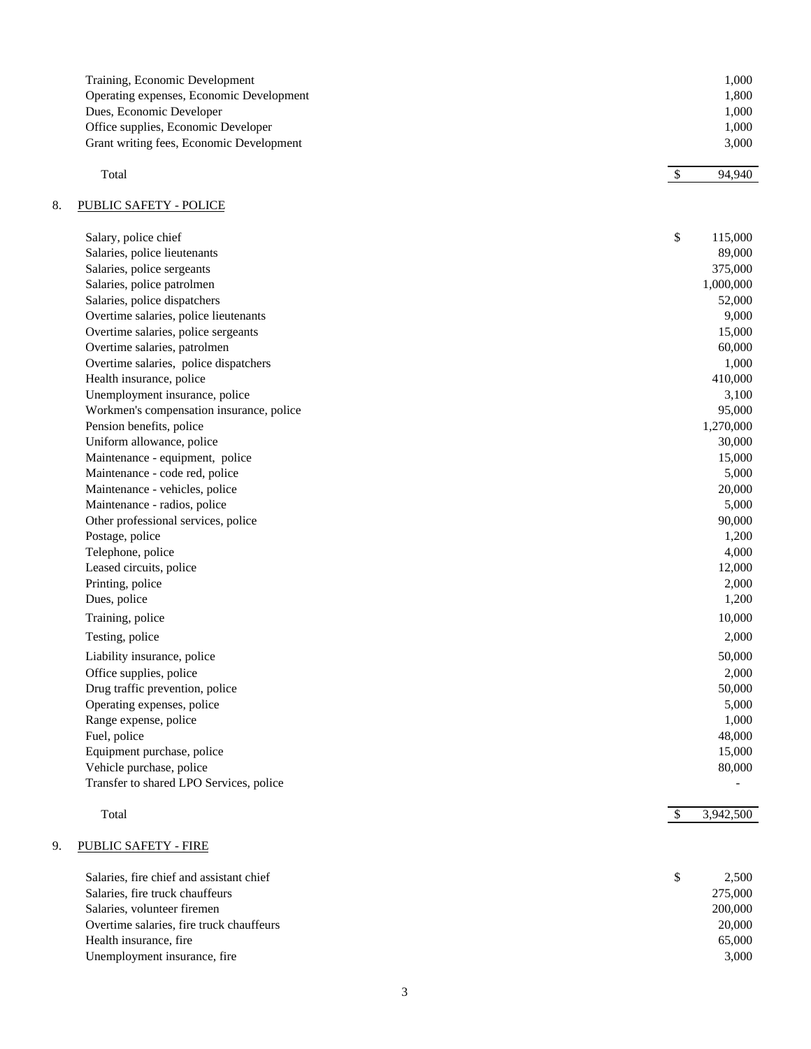| Training, Economic Development           | 1.000 |
|------------------------------------------|-------|
| Operating expenses, Economic Development | 1.800 |
| Dues, Economic Developer                 | 1.000 |
| Office supplies, Economic Developer      | 1.000 |
| Grant writing fees, Economic Development | 3.000 |

| $\mathbf{r}$<br>Total | -<br>۰D | $\sim$<br>Q/II<br>ч<br>・ ナ し |
|-----------------------|---------|------------------------------|
|                       |         |                              |

# 8. PUBLIC SAFETY - POLICE

| Salary, police chief                     | \$<br>115,000              |
|------------------------------------------|----------------------------|
| Salaries, police lieutenants             | 89,000                     |
| Salaries, police sergeants               | 375,000                    |
| Salaries, police patrolmen               | 1,000,000                  |
| Salaries, police dispatchers             | 52,000                     |
| Overtime salaries, police lieutenants    | 9,000                      |
| Overtime salaries, police sergeants      | 15,000                     |
| Overtime salaries, patrolmen             | 60,000                     |
| Overtime salaries, police dispatchers    | 1,000                      |
| Health insurance, police                 | 410,000                    |
| Unemployment insurance, police           | 3,100                      |
| Workmen's compensation insurance, police | 95,000                     |
| Pension benefits, police                 | 1,270,000                  |
| Uniform allowance, police                | 30,000                     |
| Maintenance - equipment, police          | 15,000                     |
| Maintenance - code red, police           | 5,000                      |
| Maintenance - vehicles, police           | 20,000                     |
| Maintenance - radios, police             | 5,000                      |
| Other professional services, police      | 90,000                     |
| Postage, police                          | 1,200                      |
| Telephone, police                        | 4,000                      |
| Leased circuits, police                  | 12,000                     |
| Printing, police                         | 2,000                      |
| Dues, police                             | 1,200                      |
| Training, police                         | 10,000                     |
| Testing, police                          | 2,000                      |
| Liability insurance, police              | 50,000                     |
| Office supplies, police                  | 2,000                      |
| Drug traffic prevention, police          | 50,000                     |
| Operating expenses, police               | 5,000                      |
| Range expense, police                    | 1,000                      |
| Fuel, police                             | 48,000                     |
| Equipment purchase, police               | 15,000                     |
| Vehicle purchase, police                 | 80,000                     |
| Transfer to shared LPO Services, police  |                            |
| Total                                    | $\mathcal{S}$<br>3,942,500 |
|                                          |                            |

# 9. PUBLIC SAFETY - FIRE

| Salaries, fire chief and assistant chief | 2.500   |
|------------------------------------------|---------|
| Salaries, fire truck chauffeurs          | 275,000 |
| Salaries, volunteer firemen              | 200,000 |
| Overtime salaries, fire truck chauffeurs | 20,000  |
| Health insurance, fire.                  | 65,000  |
| Unemployment insurance, fire             | 3.000   |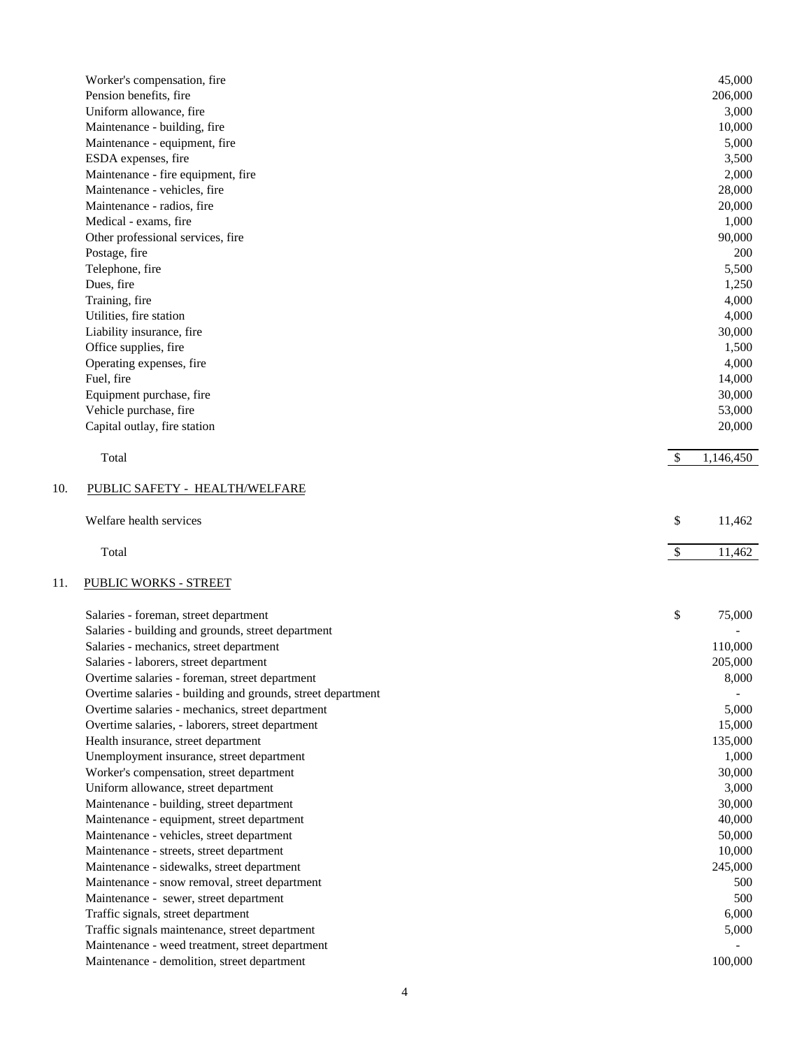|     | Worker's compensation, fire                                 |               | 45,000    |
|-----|-------------------------------------------------------------|---------------|-----------|
|     | Pension benefits, fire                                      |               | 206,000   |
|     | Uniform allowance, fire                                     |               | 3,000     |
|     | Maintenance - building, fire                                |               | 10,000    |
|     | Maintenance - equipment, fire                               |               | 5,000     |
|     | ESDA expenses, fire                                         |               | 3,500     |
|     | Maintenance - fire equipment, fire                          |               | 2,000     |
|     | Maintenance - vehicles, fire                                |               | 28,000    |
|     | Maintenance - radios, fire                                  |               | 20,000    |
|     | Medical - exams, fire                                       |               | 1,000     |
|     | Other professional services, fire                           |               | 90,000    |
|     | Postage, fire                                               |               | 200       |
|     | Telephone, fire                                             |               | 5,500     |
|     | Dues, fire                                                  |               | 1,250     |
|     | Training, fire                                              |               | 4,000     |
|     | Utilities, fire station                                     |               | 4,000     |
|     | Liability insurance, fire                                   |               | 30,000    |
|     | Office supplies, fire                                       |               | 1,500     |
|     | Operating expenses, fire                                    |               | 4,000     |
|     | Fuel, fire                                                  |               | 14,000    |
|     | Equipment purchase, fire                                    |               | 30,000    |
|     | Vehicle purchase, fire                                      |               | 53,000    |
|     | Capital outlay, fire station                                |               | 20,000    |
|     | Total                                                       | \$            | 1,146,450 |
| 10. | PUBLIC SAFETY - HEALTH/WELFARE                              |               |           |
|     | Welfare health services                                     | \$            | 11,462    |
|     | Total                                                       | $\frac{1}{2}$ | 11,462    |
| 11. | <b>PUBLIC WORKS - STREET</b>                                |               |           |
|     | Salaries - foreman, street department                       | \$            | 75,000    |
|     | Salaries - building and grounds, street department          |               |           |
|     | Salaries - mechanics, street department                     |               | 110,000   |
|     | Salaries - laborers, street department                      |               | 205,000   |
|     | Overtime salaries - foreman, street department              |               | 8,000     |
|     | Overtime salaries - building and grounds, street department |               |           |
|     | Overtime salaries - mechanics, street department            |               | 5,000     |
|     | Overtime salaries, - laborers, street department            |               | 15,000    |
|     | Health insurance, street department                         |               | 135,000   |
|     | Unemployment insurance, street department                   |               | 1,000     |
|     | Worker's compensation, street department                    |               | 30,000    |
|     | Uniform allowance, street department                        |               | 3,000     |
|     | Maintenance - building, street department                   |               | 30,000    |
|     | Maintenance - equipment, street department                  |               | 40,000    |
|     | Maintenance - vehicles, street department                   |               | 50,000    |
|     | Maintenance - streets, street department                    |               | 10,000    |
|     | Maintenance - sidewalks, street department                  |               | 245,000   |
|     | Maintenance - snow removal, street department               |               | 500       |
|     | Maintenance - sewer, street department                      |               | 500       |
|     | Traffic signals, street department                          |               | 6,000     |
|     | Traffic signals maintenance, street department              |               | 5,000     |
|     | Maintenance - weed treatment, street department             |               |           |
|     | Maintenance - demolition, street department                 |               | 100,000   |
|     |                                                             |               |           |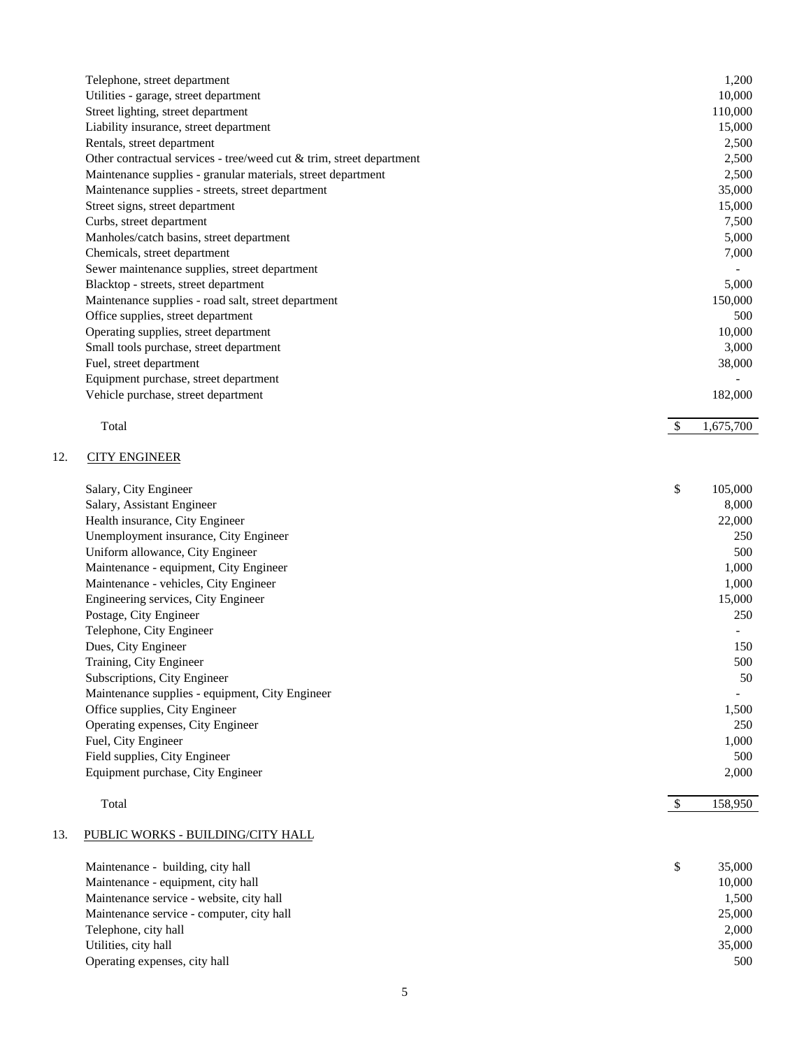| Telephone, street department                                            | 1,200   |
|-------------------------------------------------------------------------|---------|
| Utilities - garage, street department                                   | 10,000  |
| Street lighting, street department                                      | 110,000 |
| Liability insurance, street department                                  | 15,000  |
| Rentals, street department                                              | 2,500   |
| Other contractual services - tree/weed cut $\&$ trim, street department | 2,500   |
| Maintenance supplies - granular materials, street department            | 2,500   |
| Maintenance supplies - streets, street department                       | 35,000  |
| Street signs, street department                                         | 15,000  |
| Curbs, street department                                                | 7,500   |
| Manholes/catch basins, street department                                | 5,000   |
| Chemicals, street department                                            | 7,000   |
| Sewer maintenance supplies, street department                           |         |
| Blacktop - streets, street department                                   | 5,000   |
| Maintenance supplies - road salt, street department                     | 150,000 |
| Office supplies, street department                                      | 500     |
| Operating supplies, street department                                   | 10,000  |
| Small tools purchase, street department                                 | 3,000   |
| Fuel, street department                                                 | 38,000  |
| Equipment purchase, street department                                   |         |
| Vehicle purchase, street department                                     | 182,000 |

Total \$ 1,675,700

# 12. CITY ENGINEER

| Salary, City Engineer                           | \$<br>105,000            |
|-------------------------------------------------|--------------------------|
| Salary, Assistant Engineer                      | 8,000                    |
| Health insurance, City Engineer                 | 22,000                   |
| Unemployment insurance, City Engineer           | 250                      |
| Uniform allowance, City Engineer                | 500                      |
| Maintenance - equipment, City Engineer          | 1,000                    |
| Maintenance - vehicles, City Engineer           | 1,000                    |
| Engineering services, City Engineer             | 15,000                   |
| Postage, City Engineer                          | 250                      |
| Telephone, City Engineer                        |                          |
| Dues, City Engineer                             | 150                      |
| Training, City Engineer                         | 500                      |
| Subscriptions, City Engineer                    | 50                       |
| Maintenance supplies - equipment, City Engineer | $\overline{\phantom{a}}$ |
| Office supplies, City Engineer                  | 1,500                    |
| Operating expenses, City Engineer               | 250                      |
| Fuel, City Engineer                             | 1,000                    |
| Field supplies, City Engineer                   | 500                      |
| Equipment purchase, City Engineer               | 2,000                    |
|                                                 |                          |

#### Total \$ 158,950

# 13. PUBLIC WORKS - BUILDING/CITY HALL

| Maintenance - building, city hall         | \$<br>35,000 |
|-------------------------------------------|--------------|
| Maintenance - equipment, city hall        | 10.000       |
| Maintenance service - website, city hall  | 1,500        |
| Maintenance service - computer, city hall | 25,000       |
| Telephone, city hall                      | 2,000        |
| Utilities, city hall                      | 35,000       |
| Operating expenses, city hall             | 500          |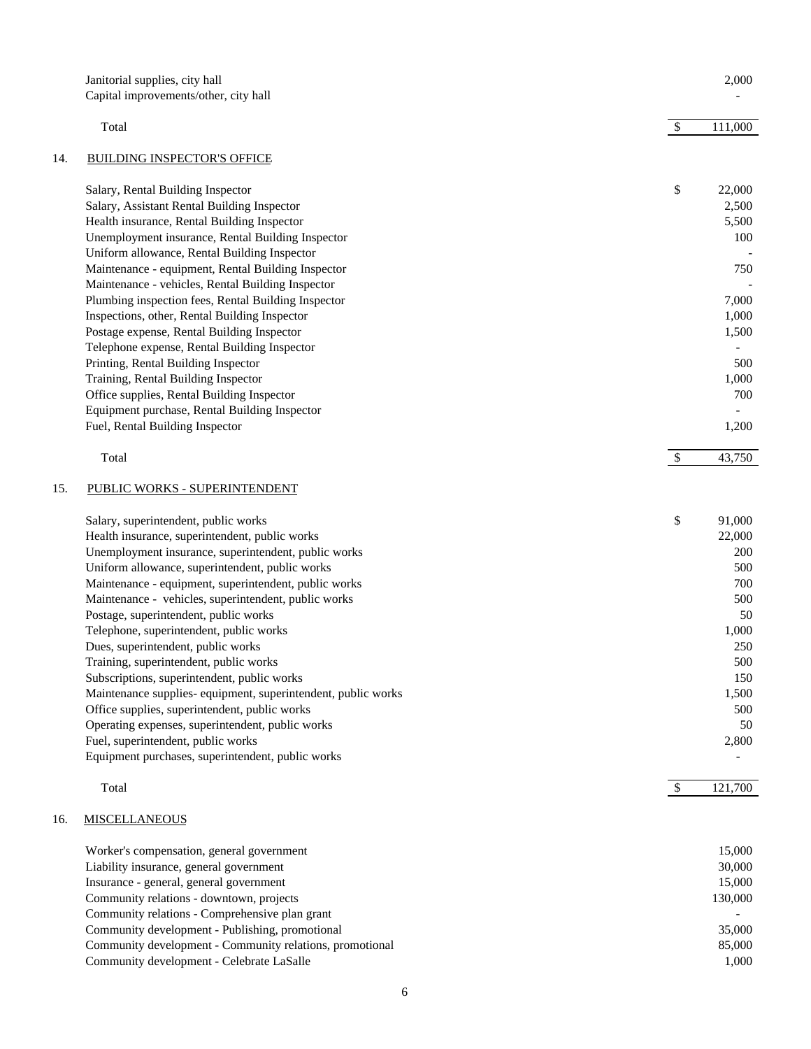|     | Janitorial supplies, city hall                                                                       |               | 2,000          |
|-----|------------------------------------------------------------------------------------------------------|---------------|----------------|
|     | Capital improvements/other, city hall                                                                |               |                |
|     | Total                                                                                                | $\mathcal{S}$ | 111,000        |
| 14. | <b>BUILDING INSPECTOR'S OFFICE</b>                                                                   |               |                |
|     | Salary, Rental Building Inspector                                                                    | \$            | 22,000         |
|     | Salary, Assistant Rental Building Inspector                                                          |               | 2,500          |
|     | Health insurance, Rental Building Inspector                                                          |               | 5,500          |
|     | Unemployment insurance, Rental Building Inspector                                                    |               | 100            |
|     | Uniform allowance, Rental Building Inspector                                                         |               |                |
|     | Maintenance - equipment, Rental Building Inspector                                                   |               | 750            |
|     | Maintenance - vehicles, Rental Building Inspector                                                    |               |                |
|     | Plumbing inspection fees, Rental Building Inspector<br>Inspections, other, Rental Building Inspector |               | 7,000<br>1,000 |
|     | Postage expense, Rental Building Inspector                                                           |               | 1,500          |
|     | Telephone expense, Rental Building Inspector                                                         |               |                |
|     | Printing, Rental Building Inspector                                                                  |               | 500            |
|     | Training, Rental Building Inspector                                                                  |               | 1,000          |
|     | Office supplies, Rental Building Inspector                                                           |               | 700            |
|     | Equipment purchase, Rental Building Inspector                                                        |               |                |
|     | Fuel, Rental Building Inspector                                                                      |               | 1,200          |
|     | Total                                                                                                | $\mathcal{S}$ | 43,750         |
| 15. | PUBLIC WORKS - SUPERINTENDENT                                                                        |               |                |
|     | Salary, superintendent, public works                                                                 | \$            | 91,000         |
|     | Health insurance, superintendent, public works                                                       |               | 22,000         |
|     | Unemployment insurance, superintendent, public works                                                 |               | 200            |
|     | Uniform allowance, superintendent, public works                                                      |               | 500            |
|     | Maintenance - equipment, superintendent, public works                                                |               | 700            |
|     | Maintenance - vehicles, superintendent, public works                                                 |               | 500            |
|     | Postage, superintendent, public works                                                                |               | 50             |
|     | Telephone, superintendent, public works                                                              |               | 1,000          |
|     | Dues, superintendent, public works                                                                   |               | 250<br>500     |
|     | Training, superintendent, public works<br>Subscriptions, superintendent, public works                |               | 150            |
|     | Maintenance supplies- equipment, superintendent, public works                                        |               | 1,500          |
|     | Office supplies, superintendent, public works                                                        |               | 500            |
|     | Operating expenses, superintendent, public works                                                     |               | 50             |
|     | Fuel, superintendent, public works                                                                   |               | 2,800          |
|     | Equipment purchases, superintendent, public works                                                    |               |                |
|     | Total                                                                                                | $\sqrt[6]{3}$ | 121,700        |
| 16. | <b>MISCELLANEOUS</b>                                                                                 |               |                |
|     | Worker's compensation, general government                                                            |               | 15,000         |
|     | Liability insurance, general government                                                              |               | 30,000         |
|     | Insurance - general, general government                                                              |               | 15,000         |
|     | Community relations - downtown, projects                                                             |               | 130,000        |
|     | Community relations - Comprehensive plan grant                                                       |               |                |
|     | Community development - Publishing, promotional                                                      |               | 35,000         |
|     | Community development - Community relations, promotional                                             |               | 85,000         |
|     | Community development - Celebrate LaSalle                                                            |               | 1,000          |
|     |                                                                                                      |               |                |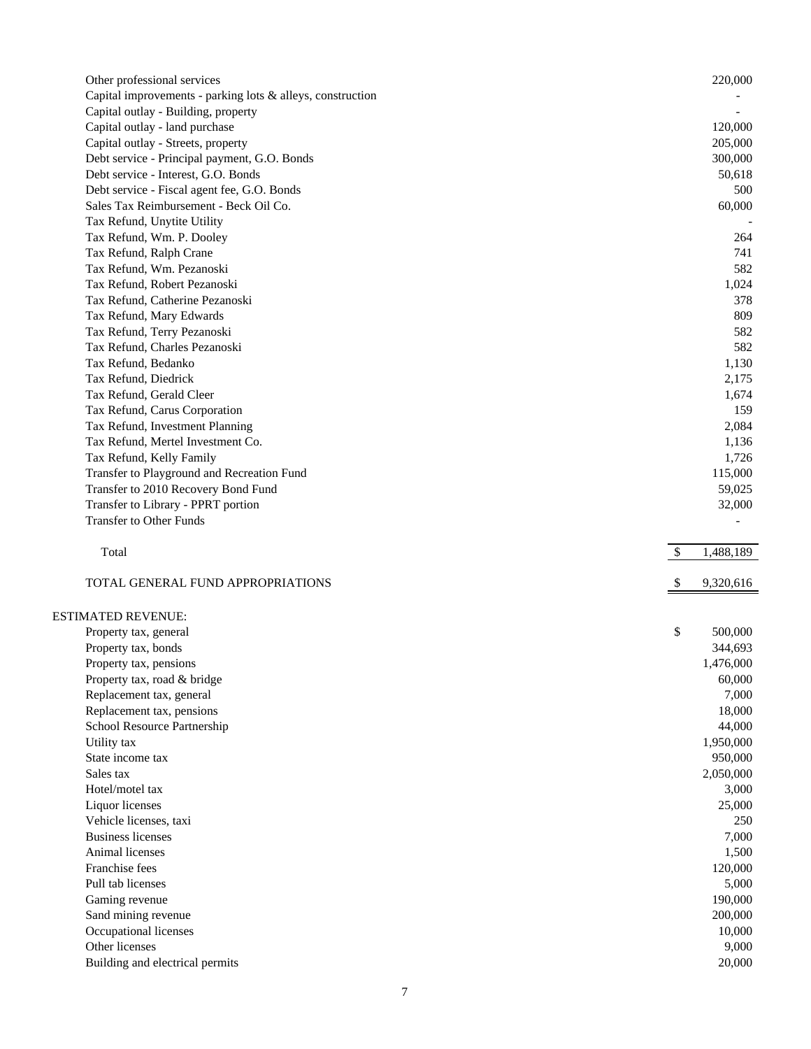| Other professional services                                |              | 220,000             |
|------------------------------------------------------------|--------------|---------------------|
| Capital improvements - parking lots & alleys, construction |              |                     |
| Capital outlay - Building, property                        |              |                     |
| Capital outlay - land purchase                             |              | 120,000             |
| Capital outlay - Streets, property                         |              | 205,000             |
| Debt service - Principal payment, G.O. Bonds               |              | 300,000             |
| Debt service - Interest, G.O. Bonds                        |              | 50,618              |
| Debt service - Fiscal agent fee, G.O. Bonds                |              | 500                 |
| Sales Tax Reimbursement - Beck Oil Co.                     |              | 60,000              |
| Tax Refund, Unytite Utility                                |              |                     |
| Tax Refund, Wm. P. Dooley                                  |              | 264                 |
| Tax Refund, Ralph Crane                                    |              | 741                 |
| Tax Refund, Wm. Pezanoski                                  |              | 582                 |
| Tax Refund, Robert Pezanoski                               |              | 1,024               |
| Tax Refund, Catherine Pezanoski                            |              | 378                 |
| Tax Refund, Mary Edwards                                   |              | 809                 |
| Tax Refund, Terry Pezanoski                                |              | 582                 |
| Tax Refund, Charles Pezanoski                              |              | 582                 |
| Tax Refund, Bedanko                                        |              | 1,130               |
| Tax Refund, Diedrick                                       |              | 2,175               |
| Tax Refund, Gerald Cleer                                   |              | 1,674               |
| Tax Refund, Carus Corporation                              |              | 159                 |
| Tax Refund, Investment Planning                            |              | 2,084               |
| Tax Refund, Mertel Investment Co.                          |              | 1,136               |
| Tax Refund, Kelly Family                                   |              | 1,726               |
| Transfer to Playground and Recreation Fund                 |              | 115,000             |
| Transfer to 2010 Recovery Bond Fund                        |              | 59,025              |
| Transfer to Library - PPRT portion                         |              | 32,000              |
| <b>Transfer to Other Funds</b>                             |              |                     |
|                                                            |              |                     |
| Total                                                      | $\mathbb{S}$ | 1,488,189           |
|                                                            |              |                     |
| TOTAL GENERAL FUND APPROPRIATIONS                          |              | 9,320,616           |
|                                                            |              |                     |
| <b>ESTIMATED REVENUE:</b>                                  | \$           | 500,000             |
| Property tax, general                                      |              | 344,693             |
| Property tax, bonds                                        |              |                     |
| Property tax, pensions                                     |              | 1,476,000<br>60,000 |
| Property tax, road & bridge                                |              | 7,000               |
| Replacement tax, general<br>Replacement tax, pensions      |              | 18,000              |
| School Resource Partnership                                |              | 44,000              |
| Utility tax                                                |              | 1,950,000           |
| State income tax                                           |              | 950,000             |
| Sales tax                                                  |              | 2,050,000           |
| Hotel/motel tax                                            |              | 3,000               |
| Liquor licenses                                            |              | 25,000              |
| Vehicle licenses, taxi                                     |              | 250                 |
| <b>Business licenses</b>                                   |              | 7,000               |
| Animal licenses                                            |              | 1,500               |
| Franchise fees                                             |              | 120,000             |
| Pull tab licenses                                          |              | 5,000               |
| Gaming revenue                                             |              | 190,000             |
| Sand mining revenue                                        |              | 200,000             |
| Occupational licenses                                      |              | 10,000              |
| Other licenses<br>Building and electrical permits          |              | 9,000<br>20,000     |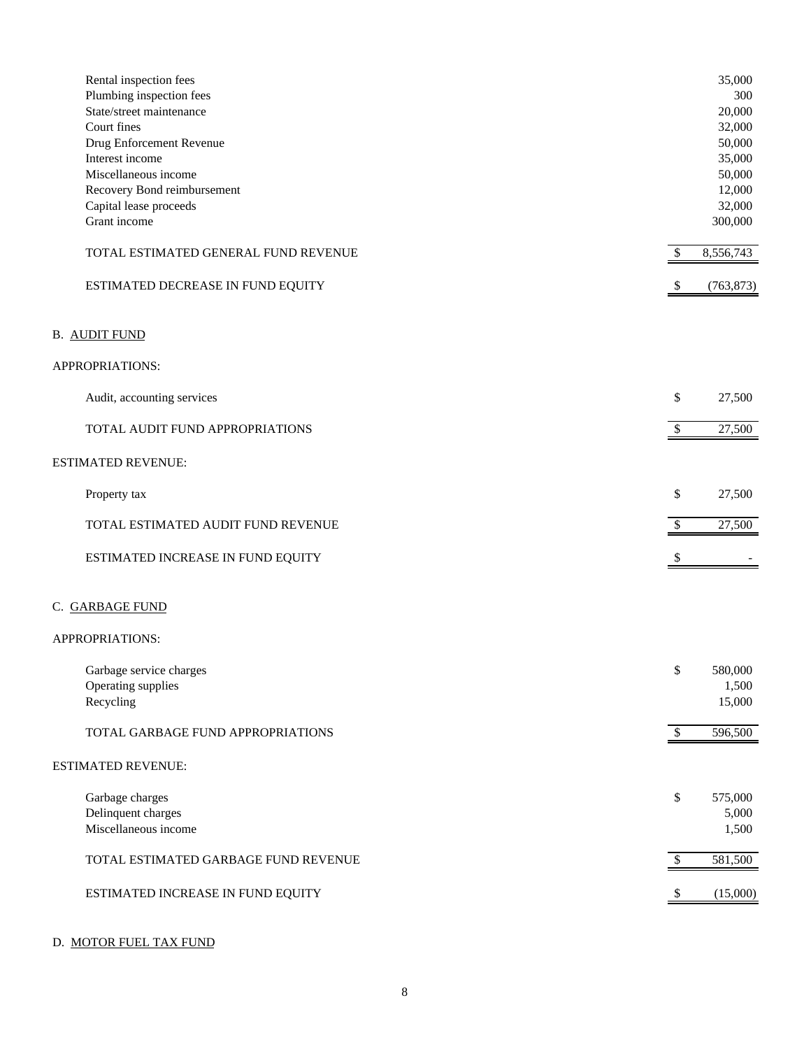| Rental inspection fees<br>Plumbing inspection fees |                           | 35,000<br>300 |
|----------------------------------------------------|---------------------------|---------------|
| State/street maintenance                           |                           | 20,000        |
| Court fines                                        |                           | 32,000        |
| Drug Enforcement Revenue                           |                           | 50,000        |
| Interest income                                    |                           | 35,000        |
| Miscellaneous income                               |                           | 50,000        |
| Recovery Bond reimbursement                        |                           | 12,000        |
|                                                    |                           | 32,000        |
| Capital lease proceeds<br>Grant income             |                           | 300,000       |
|                                                    |                           |               |
| TOTAL ESTIMATED GENERAL FUND REVENUE               | \$                        | 8,556,743     |
| ESTIMATED DECREASE IN FUND EQUITY                  | $\boldsymbol{\mathsf{S}}$ | (763, 873)    |
| <b>B. AUDIT FUND</b>                               |                           |               |
| APPROPRIATIONS:                                    |                           |               |
| Audit, accounting services                         | \$                        | 27,500        |
| TOTAL AUDIT FUND APPROPRIATIONS                    | $\boldsymbol{\mathsf{S}}$ | 27,500        |
| <b>ESTIMATED REVENUE:</b>                          |                           |               |
| Property tax                                       | \$                        | 27,500        |
| TOTAL ESTIMATED AUDIT FUND REVENUE                 | \$                        | 27,500        |
| ESTIMATED INCREASE IN FUND EQUITY                  | \$                        |               |
| C. GARBAGE FUND                                    |                           |               |
| APPROPRIATIONS:                                    |                           |               |
| Garbage service charges                            | \$                        | 580,000       |
| Operating supplies                                 |                           | 1,500         |
| Recycling                                          |                           | 15,000        |
| TOTAL GARBAGE FUND APPROPRIATIONS                  | $\mathcal{S}$             | 596,500       |
| <b>ESTIMATED REVENUE:</b>                          |                           |               |
| Garbage charges                                    | \$                        | 575,000       |
| Delinquent charges                                 |                           | 5,000         |
| Miscellaneous income                               |                           | 1,500         |
| TOTAL ESTIMATED GARBAGE FUND REVENUE               | $\boldsymbol{\mathsf{S}}$ | 581,500       |
| ESTIMATED INCREASE IN FUND EQUITY                  | $\mathcal{S}$             | (15,000)      |
|                                                    |                           |               |

# D. MOTOR FUEL TAX FUND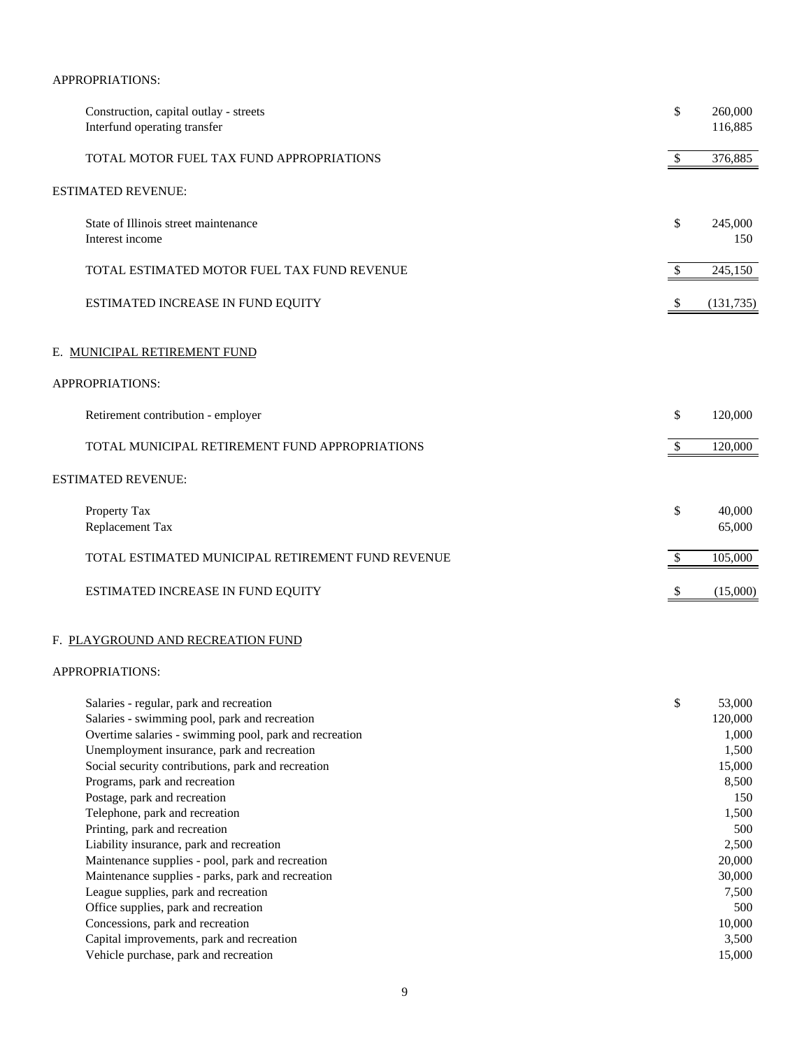# APPROPRIATIONS:

| Construction, capital outlay - streets<br>Interfund operating transfer | \$            | 260,000<br>116,885 |
|------------------------------------------------------------------------|---------------|--------------------|
| TOTAL MOTOR FUEL TAX FUND APPROPRIATIONS                               | \$            | 376,885            |
| ESTIMATED REVENUE:                                                     |               |                    |
| State of Illinois street maintenance<br>Interest income                | \$            | 245,000<br>150     |
| TOTAL ESTIMATED MOTOR FUEL TAX FUND REVENUE                            | $\mathcal{S}$ | 245,150            |
| ESTIMATED INCREASE IN FUND EQUITY                                      | -S            | (131, 735)         |
| E. MUNICIPAL RETIREMENT FUND                                           |               |                    |
| APPROPRIATIONS:                                                        |               |                    |
| Retirement contribution - employer                                     | \$            | 120,000            |
| TOTAL MUNICIPAL RETIREMENT FUND APPROPRIATIONS                         | \$.           | 120,000            |
| <b>ESTIMATED REVENUE:</b>                                              |               |                    |
| Property Tax<br>Replacement Tax                                        | \$            | 40,000<br>65,000   |
| TOTAL ESTIMATED MUNICIPAL RETIREMENT FUND REVENUE                      | \$            | 105,000            |
| ESTIMATED INCREASE IN FUND EQUITY                                      |               | (15,000)           |
|                                                                        |               |                    |

# F. PLAYGROUND AND RECREATION FUND

# APPROPRIATIONS:

| Salaries - regular, park and recreation                | \$<br>53,000 |
|--------------------------------------------------------|--------------|
| Salaries - swimming pool, park and recreation          | 120,000      |
| Overtime salaries - swimming pool, park and recreation | 1,000        |
| Unemployment insurance, park and recreation            | 1,500        |
| Social security contributions, park and recreation     | 15,000       |
| Programs, park and recreation                          | 8,500        |
| Postage, park and recreation                           | 150          |
| Telephone, park and recreation                         | 1,500        |
| Printing, park and recreation                          | 500          |
| Liability insurance, park and recreation               | 2,500        |
| Maintenance supplies - pool, park and recreation       | 20,000       |
| Maintenance supplies - parks, park and recreation      | 30,000       |
| League supplies, park and recreation                   | 7,500        |
| Office supplies, park and recreation                   | 500          |
| Concessions, park and recreation                       | 10,000       |
| Capital improvements, park and recreation              | 3,500        |
| Vehicle purchase, park and recreation                  | 15,000       |
|                                                        |              |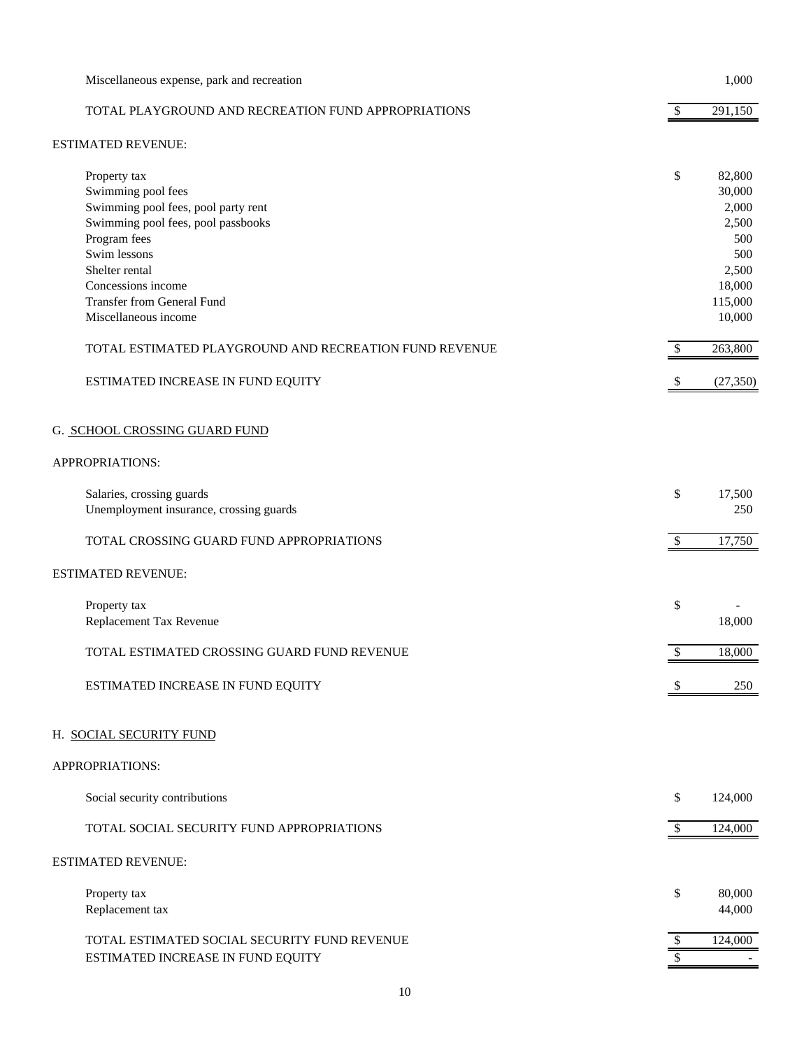| Miscellaneous expense, park and recreation                                                                                                                                                                                                           |                           | 1,000                                                                                    |
|------------------------------------------------------------------------------------------------------------------------------------------------------------------------------------------------------------------------------------------------------|---------------------------|------------------------------------------------------------------------------------------|
| TOTAL PLAYGROUND AND RECREATION FUND APPROPRIATIONS                                                                                                                                                                                                  | \$                        | 291,150                                                                                  |
| <b>ESTIMATED REVENUE:</b>                                                                                                                                                                                                                            |                           |                                                                                          |
| Property tax<br>Swimming pool fees<br>Swimming pool fees, pool party rent<br>Swimming pool fees, pool passbooks<br>Program fees<br>Swim lessons<br>Shelter rental<br>Concessions income<br><b>Transfer from General Fund</b><br>Miscellaneous income | \$                        | 82,800<br>30,000<br>2,000<br>2,500<br>500<br>500<br>2,500<br>18,000<br>115,000<br>10,000 |
| TOTAL ESTIMATED PLAYGROUND AND RECREATION FUND REVENUE                                                                                                                                                                                               | $\mathcal{S}$             | 263,800                                                                                  |
| ESTIMATED INCREASE IN FUND EQUITY                                                                                                                                                                                                                    | \$                        | (27, 350)                                                                                |
| G. SCHOOL CROSSING GUARD FUND                                                                                                                                                                                                                        |                           |                                                                                          |
| APPROPRIATIONS:                                                                                                                                                                                                                                      |                           |                                                                                          |
| Salaries, crossing guards<br>Unemployment insurance, crossing guards                                                                                                                                                                                 | \$                        | 17,500<br>250                                                                            |
| TOTAL CROSSING GUARD FUND APPROPRIATIONS                                                                                                                                                                                                             | $\boldsymbol{\mathsf{S}}$ | 17,750                                                                                   |
| <b>ESTIMATED REVENUE:</b>                                                                                                                                                                                                                            |                           |                                                                                          |
| Property tax<br>Replacement Tax Revenue                                                                                                                                                                                                              | \$                        | 18,000                                                                                   |
| TOTAL ESTIMATED CROSSING GUARD FUND REVENUE                                                                                                                                                                                                          | $\mathcal{S}$             | 18,000                                                                                   |
| ESTIMATED INCREASE IN FUND EQUITY                                                                                                                                                                                                                    |                           | 250                                                                                      |
| H. SOCIAL SECURITY FUND                                                                                                                                                                                                                              |                           |                                                                                          |
| APPROPRIATIONS:                                                                                                                                                                                                                                      |                           |                                                                                          |
| Social security contributions                                                                                                                                                                                                                        | \$                        | 124,000                                                                                  |
| TOTAL SOCIAL SECURITY FUND APPROPRIATIONS                                                                                                                                                                                                            | $\mathcal{S}$             | 124,000                                                                                  |
| ESTIMATED REVENUE:                                                                                                                                                                                                                                   |                           |                                                                                          |
| Property tax<br>Replacement tax                                                                                                                                                                                                                      | \$                        | 80,000<br>44,000                                                                         |
| TOTAL ESTIMATED SOCIAL SECURITY FUND REVENUE<br>ESTIMATED INCREASE IN FUND EQUITY                                                                                                                                                                    | \$<br>\$                  | 124,000                                                                                  |
|                                                                                                                                                                                                                                                      |                           |                                                                                          |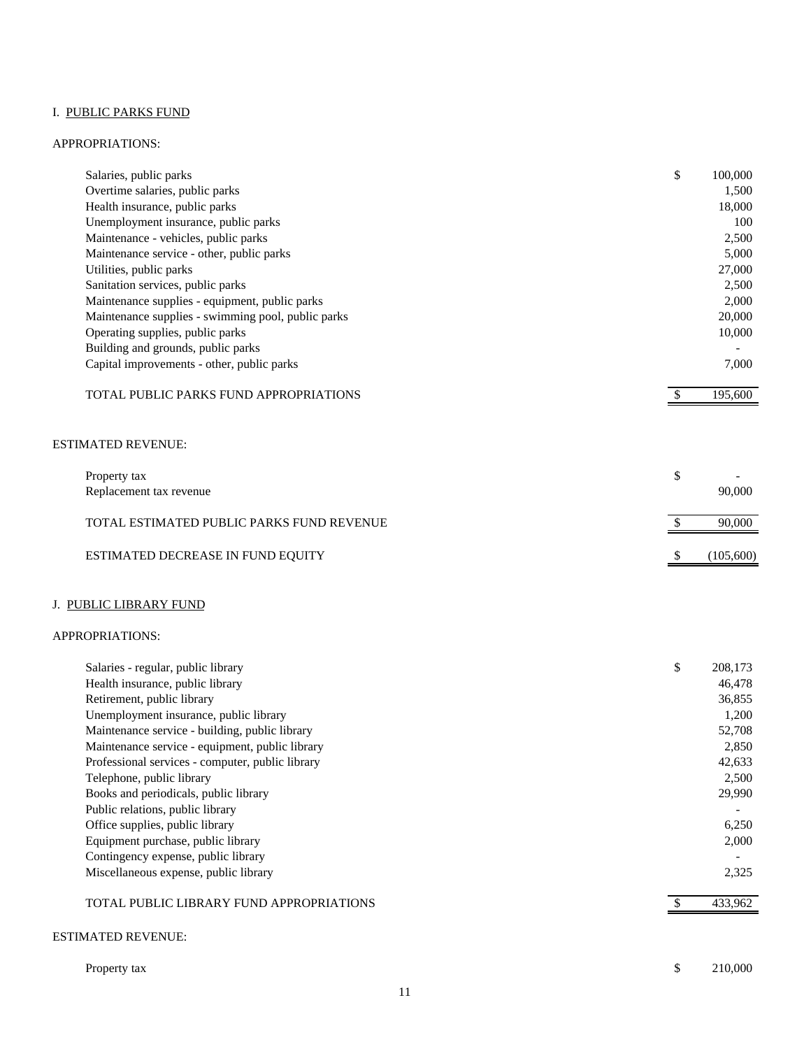# I. PUBLIC PARKS FUND

#### APPROPRIATIONS:

| Salaries, public parks                             | \$<br>100,000 |
|----------------------------------------------------|---------------|
| Overtime salaries, public parks                    | 1,500         |
| Health insurance, public parks                     | 18,000        |
| Unemployment insurance, public parks               | 100           |
| Maintenance - vehicles, public parks               | 2,500         |
| Maintenance service - other, public parks          | 5,000         |
| Utilities, public parks                            | 27,000        |
| Sanitation services, public parks                  | 2,500         |
| Maintenance supplies - equipment, public parks     | 2,000         |
| Maintenance supplies - swimming pool, public parks | 20,000        |
| Operating supplies, public parks                   | 10,000        |
| Building and grounds, public parks                 |               |
| Capital improvements - other, public parks         | 7,000         |
| <b>TOTAL PUBLIC PARKS FUND APPROPRIATIONS</b>      | 195,600       |

#### ESTIMATED REVENUE:

| Property tax<br>Replacement tax revenue   | $\overline{\phantom{0}}$<br>90,000 |
|-------------------------------------------|------------------------------------|
| TOTAL ESTIMATED PUBLIC PARKS FUND REVENUE | 90,000                             |
| <b>ESTIMATED DECREASE IN FUND EQUITY</b>  | (105,600)                          |

# J. PUBLIC LIBRARY FUND

#### APPROPRIATIONS:

| Salaries - regular, public library               | \$<br>208,173 |
|--------------------------------------------------|---------------|
| Health insurance, public library                 | 46,478        |
| Retirement, public library                       | 36,855        |
| Unemployment insurance, public library           | 1,200         |
| Maintenance service - building, public library   | 52,708        |
| Maintenance service - equipment, public library  | 2,850         |
| Professional services - computer, public library | 42,633        |
| Telephone, public library                        | 2,500         |
| Books and periodicals, public library            | 29,990        |
| Public relations, public library                 |               |
| Office supplies, public library                  | 6,250         |
| Equipment purchase, public library               | 2,000         |
| Contingency expense, public library              |               |
| Miscellaneous expense, public library            | 2,325         |
| TOTAL PUBLIC LIBRARY FUND APPROPRIATIONS         | 433.962       |

#### ESTIMATED REVENUE:

| Property tax |  |
|--------------|--|
|--------------|--|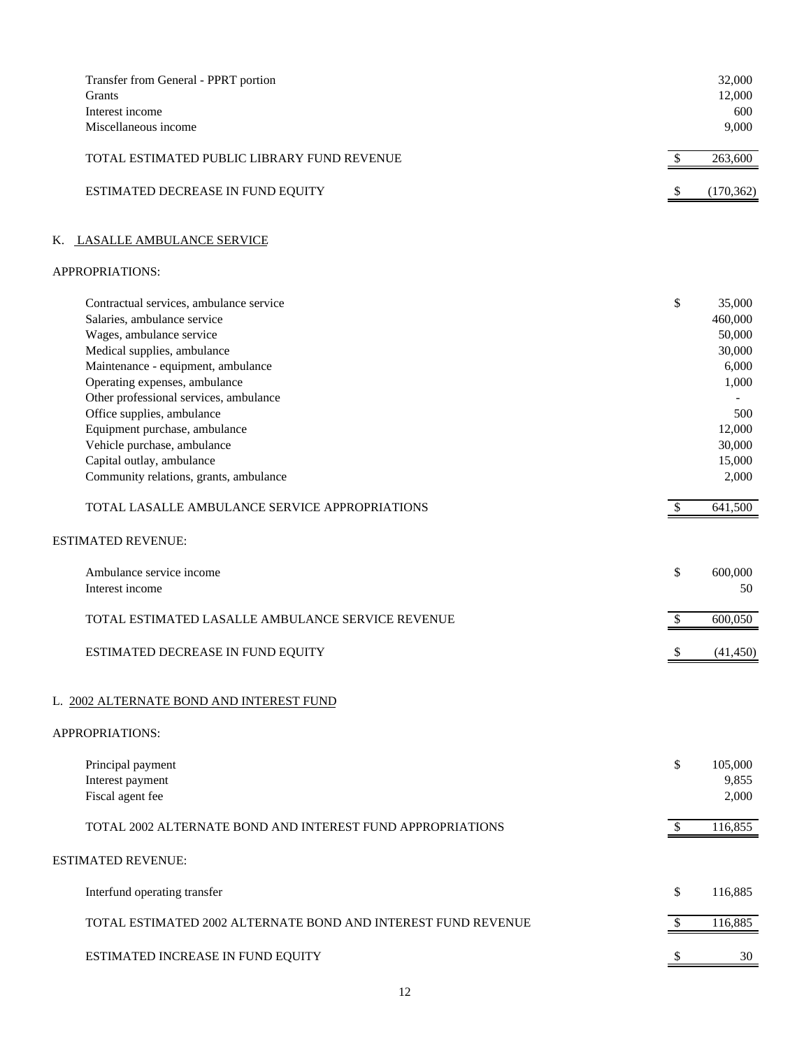| Transfer from General - PPRT portion<br>Grants<br>Interest income<br>Miscellaneous income                                                                                                                                                                                                                                                                                                                               |                           | 32,000<br>12,000<br>600<br>9,000                                                                      |
|-------------------------------------------------------------------------------------------------------------------------------------------------------------------------------------------------------------------------------------------------------------------------------------------------------------------------------------------------------------------------------------------------------------------------|---------------------------|-------------------------------------------------------------------------------------------------------|
| TOTAL ESTIMATED PUBLIC LIBRARY FUND REVENUE                                                                                                                                                                                                                                                                                                                                                                             | $\frac{1}{2}$             | 263,600                                                                                               |
| ESTIMATED DECREASE IN FUND EQUITY                                                                                                                                                                                                                                                                                                                                                                                       | \$                        | (170, 362)                                                                                            |
| K. LASALLE AMBULANCE SERVICE                                                                                                                                                                                                                                                                                                                                                                                            |                           |                                                                                                       |
| APPROPRIATIONS:                                                                                                                                                                                                                                                                                                                                                                                                         |                           |                                                                                                       |
| Contractual services, ambulance service<br>Salaries, ambulance service<br>Wages, ambulance service<br>Medical supplies, ambulance<br>Maintenance - equipment, ambulance<br>Operating expenses, ambulance<br>Other professional services, ambulance<br>Office supplies, ambulance<br>Equipment purchase, ambulance<br>Vehicle purchase, ambulance<br>Capital outlay, ambulance<br>Community relations, grants, ambulance | \$                        | 35,000<br>460,000<br>50,000<br>30,000<br>6,000<br>1,000<br>500<br>12,000<br>30,000<br>15,000<br>2,000 |
| TOTAL LASALLE AMBULANCE SERVICE APPROPRIATIONS                                                                                                                                                                                                                                                                                                                                                                          | $\boldsymbol{\mathsf{S}}$ | 641,500                                                                                               |
| ESTIMATED REVENUE:                                                                                                                                                                                                                                                                                                                                                                                                      |                           |                                                                                                       |
| Ambulance service income<br>Interest income                                                                                                                                                                                                                                                                                                                                                                             | \$                        | 600,000<br>50                                                                                         |
| TOTAL ESTIMATED LASALLE AMBULANCE SERVICE REVENUE                                                                                                                                                                                                                                                                                                                                                                       | \$                        | 600,050                                                                                               |
| ESTIMATED DECREASE IN FUND EQUITY                                                                                                                                                                                                                                                                                                                                                                                       | \$                        | (41, 450)                                                                                             |
| L. 2002 ALTERNATE BOND AND INTEREST FUND                                                                                                                                                                                                                                                                                                                                                                                |                           |                                                                                                       |
| APPROPRIATIONS:                                                                                                                                                                                                                                                                                                                                                                                                         |                           |                                                                                                       |
| Principal payment<br>Interest payment<br>Fiscal agent fee                                                                                                                                                                                                                                                                                                                                                               | \$                        | 105,000<br>9,855<br>2,000                                                                             |
| TOTAL 2002 ALTERNATE BOND AND INTEREST FUND APPROPRIATIONS                                                                                                                                                                                                                                                                                                                                                              | \$                        | 116,855                                                                                               |
| ESTIMATED REVENUE:                                                                                                                                                                                                                                                                                                                                                                                                      |                           |                                                                                                       |
| Interfund operating transfer                                                                                                                                                                                                                                                                                                                                                                                            | \$                        | 116,885                                                                                               |
| TOTAL ESTIMATED 2002 ALTERNATE BOND AND INTEREST FUND REVENUE                                                                                                                                                                                                                                                                                                                                                           | $\mathbb{S}$              | 116,885                                                                                               |
| ESTIMATED INCREASE IN FUND EQUITY                                                                                                                                                                                                                                                                                                                                                                                       |                           | 30                                                                                                    |
|                                                                                                                                                                                                                                                                                                                                                                                                                         |                           |                                                                                                       |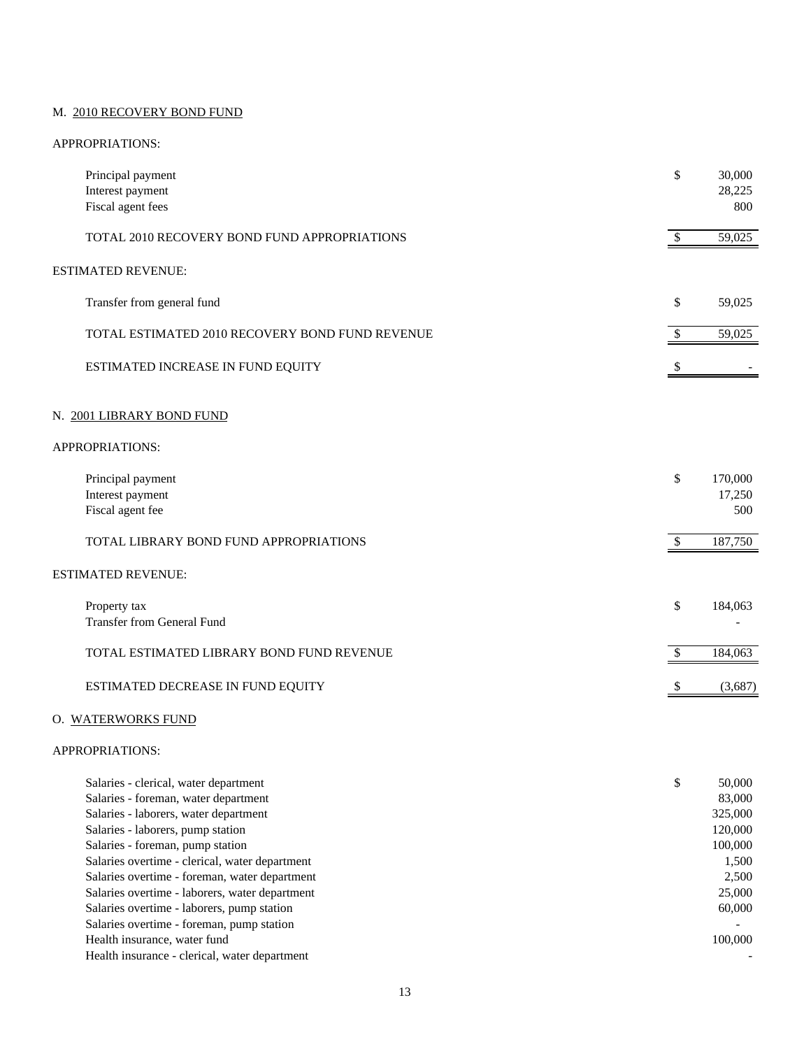#### M. 2010 RECOVERY BOND FUND

#### APPROPRIATIONS:

| Principal payment<br>Interest payment<br>Fiscal agent fees                                                                                                  | \$                        | 30,000<br>28,225<br>800                |
|-------------------------------------------------------------------------------------------------------------------------------------------------------------|---------------------------|----------------------------------------|
| TOTAL 2010 RECOVERY BOND FUND APPROPRIATIONS                                                                                                                | $\boldsymbol{\mathsf{S}}$ | 59,025                                 |
| <b>ESTIMATED REVENUE:</b>                                                                                                                                   |                           |                                        |
| Transfer from general fund                                                                                                                                  | \$                        | 59,025                                 |
| TOTAL ESTIMATED 2010 RECOVERY BOND FUND REVENUE                                                                                                             | $\boldsymbol{\mathsf{S}}$ | 59,025                                 |
| ESTIMATED INCREASE IN FUND EQUITY                                                                                                                           | $\boldsymbol{\mathsf{S}}$ |                                        |
| N. 2001 LIBRARY BOND FUND                                                                                                                                   |                           |                                        |
| APPROPRIATIONS:                                                                                                                                             |                           |                                        |
| Principal payment<br>Interest payment<br>Fiscal agent fee                                                                                                   | \$                        | 170,000<br>17,250<br>500               |
| TOTAL LIBRARY BOND FUND APPROPRIATIONS                                                                                                                      | $\sqrt{3}$                | 187,750                                |
| ESTIMATED REVENUE:                                                                                                                                          |                           |                                        |
| Property tax<br><b>Transfer from General Fund</b>                                                                                                           | \$                        | 184,063                                |
| TOTAL ESTIMATED LIBRARY BOND FUND REVENUE                                                                                                                   | $\boldsymbol{\mathsf{S}}$ | 184,063                                |
| ESTIMATED DECREASE IN FUND EQUITY                                                                                                                           | \$                        | (3,687)                                |
| O. WATERWORKS FUND                                                                                                                                          |                           |                                        |
| APPROPRIATIONS:                                                                                                                                             |                           |                                        |
| Salaries - clerical, water department<br>Salaries - foreman, water department<br>Salaries - laborers, water department<br>Salaries - laborers, pump station | \$                        | 50,000<br>83,000<br>325,000<br>120,000 |

Salaries - foreman, pump station 100,000

Salaries overtime - clerical, water department 1,500

Salaries overtime - foreman, water department 2,500

Salaries overtime - laborers, water department 25,000

Salaries overtime - laborers, pump station 60,000 60,000 Salaries overtime - foreman, pump station  $\overline{\phantom{a}}$  -

Health insurance, water fund 100,000

Health insurance - clerical, water department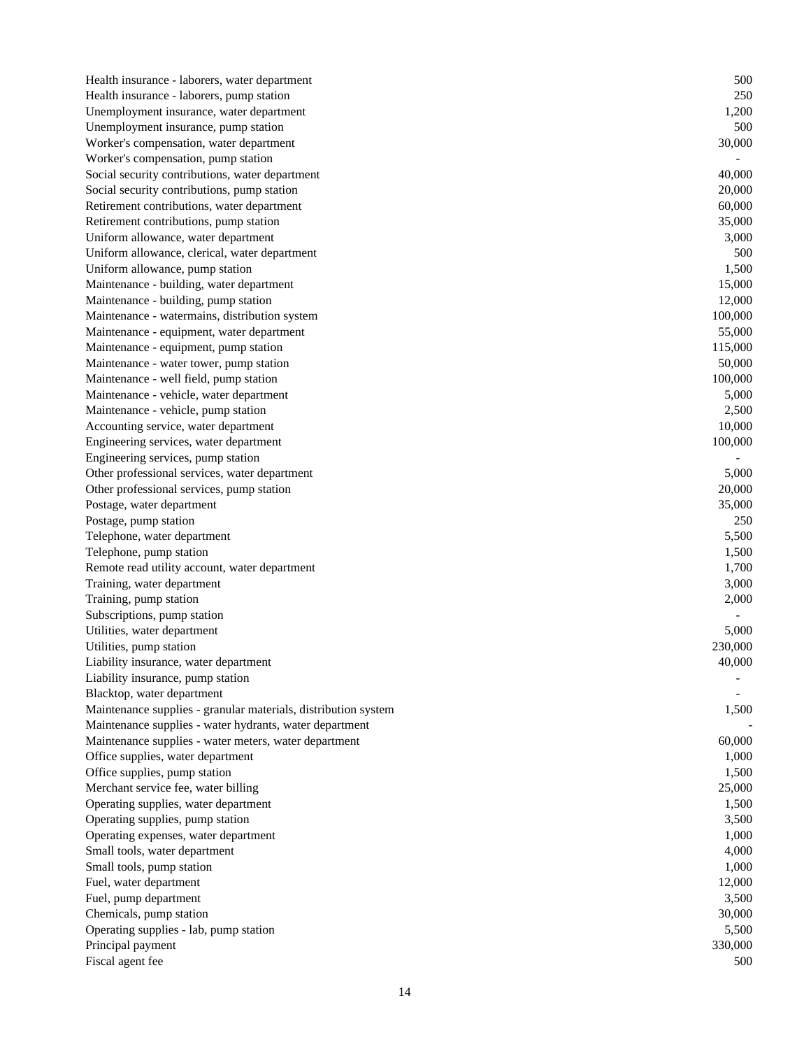Health insurance - laborers, water department 500 Health insurance - laborers, pump station 250 Unemployment insurance, water department 1,200 Unemployment insurance, pump station 500  $\sim$  500 Worker's compensation, water department 30,000 Worker's compensation, pump station Social security contributions, water department 40,000 Social security contributions, pump station 20,000  $\frac{20,000}{20,000}$ Retirement contributions, water department 60,000 Retirement contributions, pump station 35,000 Uniform allowance, water department 3,000 Uniform allowance, clerical, water department 500 Uniform allowance, pump station 1,500 Maintenance - building, water department 15,000 Maintenance - building, pump station 12,000 Maintenance - watermains, distribution system 100,000 Maintenance - equipment, water department 55,000 and 55,000 set of the state of the state of the state of the state of the state of the state of the state of the state of the state of the state of the state of the state of Maintenance - equipment, pump station 115,000 and 115,000 and 115,000 and 115,000 and 115,000 and 115,000 and 115,000 and 115,000 and 115,000 and 115,000 and 115,000 and 115,000 and 115,000 and 115,000 and 115,000 and 115, Maintenance - water tower, pump station 50,000 has been always as the station of the station 50,000 has been always as  $50,000$ Maintenance - well field, pump station 100,000 has a station of the station of the station of the station of the station of the station of the station of the station of the station of the station of the station of the stat Maintenance - vehicle, water department 5,000 Maintenance - vehicle, pump station 2,500 Accounting service, water department 10,000 Engineering services, water department 100,000 Engineering services, pump station - Other professional services, water department 5,000 Other professional services, pump station 20,000 Postage, water department 35,000 Postage, pump station 250 Telephone, water department 5,500 Telephone, pump station 1,500 Remote read utility account, water department 1,700 Training, water department 3,000 Training, pump station 2,000 Subscriptions, pump station Utilities, water department 5,000 Utilities, pump station 230,000 Liability insurance, water department 40,000 Liability insurance, pump station Blacktop, water department Maintenance supplies - granular materials, distribution system 1,500 Maintenance supplies - water hydrants, water department Maintenance supplies - water meters, water department 60,000  $60,000$ Office supplies, water department 1,000 Office supplies, pump station 1,500 Merchant service fee, water billing 25,000 Operating supplies, water department 1,500 Operating supplies, pump station 3,500 Operating expenses, water department 1,000 Small tools, water department 4,000 Small tools, pump station 1,000 Fuel, water department 12,000 Fuel, pump department 3,500 Chemicals, pump station 30,000 Operating supplies - lab, pump station 5,500 Principal payment 330,000 Fiscal agent fee 500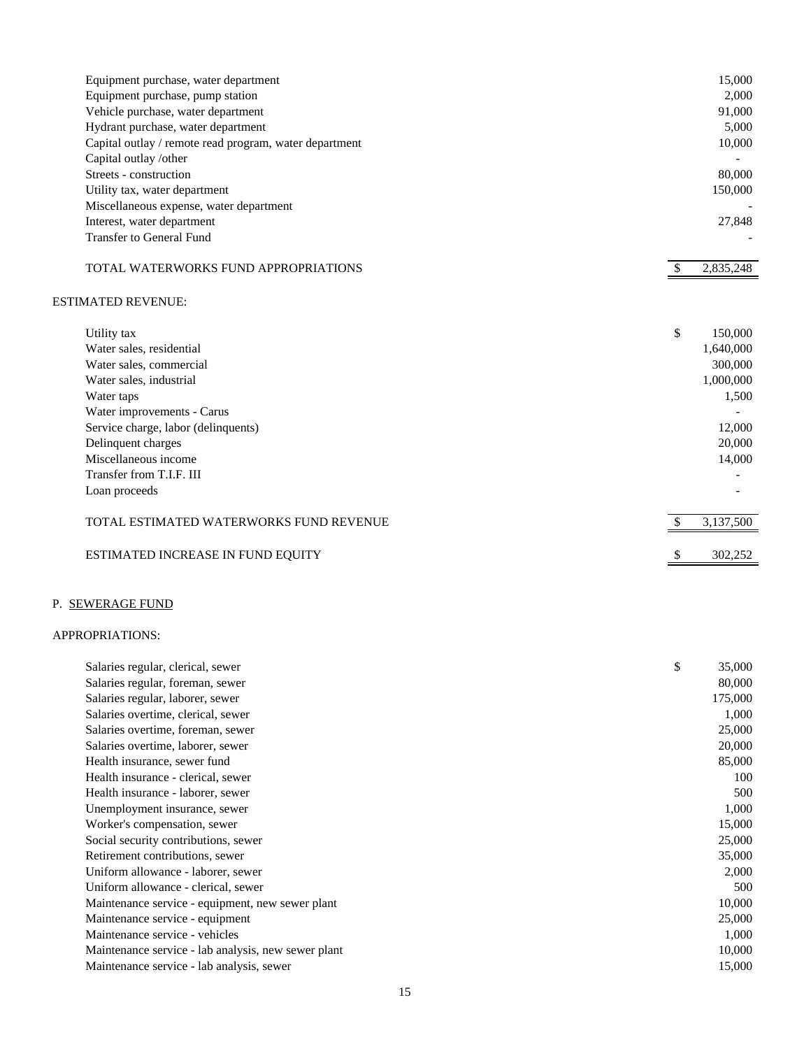| Equipment purchase, water department                   | 15,000          |
|--------------------------------------------------------|-----------------|
| Equipment purchase, pump station                       | 2,000           |
| Vehicle purchase, water department                     | 91,000          |
| Hydrant purchase, water department                     | 5,000           |
| Capital outlay / remote read program, water department | 10,000          |
| Capital outlay /other                                  |                 |
| Streets - construction                                 | 80,000          |
| Utility tax, water department                          | 150,000         |
| Miscellaneous expense, water department                |                 |
| Interest, water department                             | 27,848          |
| <b>Transfer to General Fund</b>                        |                 |
| TOTAL WATERWORKS FUND APPROPRIATIONS                   | 2,835,248       |
| <b>ESTIMATED REVENUE:</b>                              |                 |
| Utility tax                                            | \$<br>150,000   |
| Water sales, residential                               | 1,640,000       |
| Water sales, commercial                                | 300,000         |
| Water sales, industrial                                | 1,000,000       |
| Water taps                                             | 1,500           |
| Water improvements - Carus                             |                 |
| Service charge, labor (delinquents)                    | 12,000          |
| Delinquent charges                                     | 20,000          |
| Miscellaneous income                                   | 14,000          |
| Transfer from T.I.F. III                               |                 |
| Loan proceeds                                          |                 |
| TOTAL ESTIMATED WATERWORKS FUND REVENUE                | \$<br>3,137,500 |
| ESTIMATED INCREASE IN FUND EQUITY                      | \$<br>302,252   |

# P. SEWERAGE FUND

# APPROPRIATIONS:

| Salaries regular, clerical, sewer                   | \$<br>35,000 |
|-----------------------------------------------------|--------------|
| Salaries regular, foreman, sewer                    | 80,000       |
| Salaries regular, laborer, sewer                    | 175,000      |
| Salaries overtime, clerical, sewer                  | 1,000        |
| Salaries overtime, foreman, sewer                   | 25,000       |
| Salaries overtime, laborer, sewer                   | 20,000       |
| Health insurance, sewer fund                        | 85,000       |
| Health insurance - clerical, sewer                  | 100          |
| Health insurance - laborer, sewer                   | 500          |
| Unemployment insurance, sewer                       | 1,000        |
| Worker's compensation, sewer                        | 15,000       |
| Social security contributions, sewer                | 25,000       |
| Retirement contributions, sewer                     | 35,000       |
| Uniform allowance - laborer, sewer                  | 2,000        |
| Uniform allowance - clerical, sewer                 | 500          |
| Maintenance service - equipment, new sewer plant    | 10,000       |
| Maintenance service - equipment                     | 25,000       |
| Maintenance service - vehicles                      | 1,000        |
| Maintenance service - lab analysis, new sewer plant | 10,000       |
| Maintenance service - lab analysis, sewer           | 15,000       |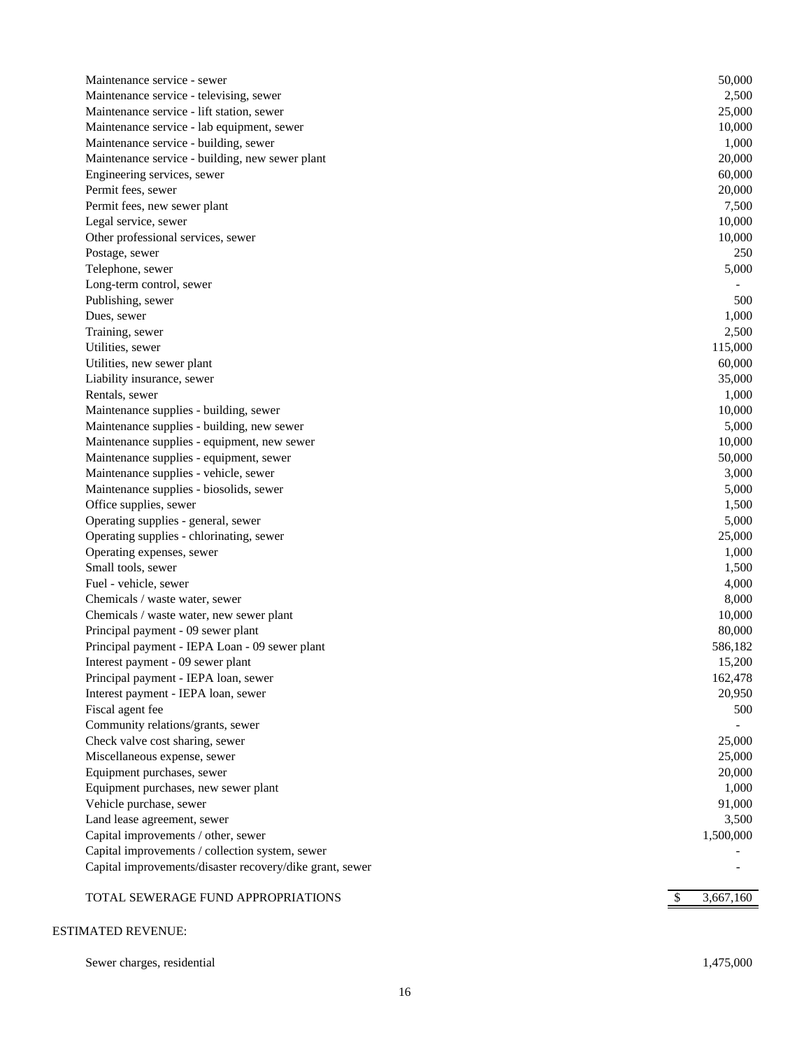| Maintenance service - sewer                                                                                 | 50,000          |
|-------------------------------------------------------------------------------------------------------------|-----------------|
| Maintenance service - televising, sewer                                                                     | 2,500           |
| Maintenance service - lift station, sewer                                                                   | 25,000          |
| Maintenance service - lab equipment, sewer                                                                  | 10,000          |
| Maintenance service - building, sewer                                                                       | 1,000           |
| Maintenance service - building, new sewer plant                                                             | 20,000          |
| Engineering services, sewer                                                                                 | 60,000          |
| Permit fees, sewer                                                                                          | 20,000          |
| Permit fees, new sewer plant                                                                                | 7,500           |
| Legal service, sewer                                                                                        | 10,000          |
| Other professional services, sewer                                                                          | 10,000          |
| Postage, sewer                                                                                              | 250             |
| Telephone, sewer                                                                                            | 5,000           |
| Long-term control, sewer                                                                                    |                 |
| Publishing, sewer                                                                                           | 500             |
| Dues, sewer                                                                                                 | 1,000           |
| Training, sewer                                                                                             | 2,500           |
| Utilities, sewer                                                                                            | 115,000         |
| Utilities, new sewer plant                                                                                  | 60,000          |
| Liability insurance, sewer                                                                                  | 35,000          |
| Rentals, sewer                                                                                              | 1,000           |
| Maintenance supplies - building, sewer                                                                      | 10,000          |
| Maintenance supplies - building, new sewer                                                                  | 5,000           |
| Maintenance supplies - equipment, new sewer                                                                 | 10,000          |
| Maintenance supplies - equipment, sewer                                                                     | 50,000          |
| Maintenance supplies - vehicle, sewer                                                                       | 3,000           |
| Maintenance supplies - biosolids, sewer                                                                     | 5,000           |
| Office supplies, sewer                                                                                      | 1,500           |
| Operating supplies - general, sewer                                                                         | 5,000           |
| Operating supplies - chlorinating, sewer                                                                    | 25,000          |
| Operating expenses, sewer                                                                                   | 1,000           |
| Small tools, sewer                                                                                          | 1,500           |
| Fuel - vehicle, sewer                                                                                       | 4,000           |
| Chemicals / waste water, sewer                                                                              | 8,000           |
| Chemicals / waste water, new sewer plant                                                                    | 10,000          |
| Principal payment - 09 sewer plant                                                                          | 80,000          |
| Principal payment - IEPA Loan - 09 sewer plant                                                              | 586,182         |
| Interest payment - 09 sewer plant                                                                           | 15,200          |
| Principal payment - IEPA loan, sewer                                                                        | 162,478         |
| Interest payment - IEPA loan, sewer                                                                         | 20,950          |
| Fiscal agent fee                                                                                            | 500             |
| Community relations/grants, sewer                                                                           |                 |
| Check valve cost sharing, sewer                                                                             | 25,000          |
| Miscellaneous expense, sewer                                                                                | 25,000          |
| Equipment purchases, sewer                                                                                  | 20,000          |
| Equipment purchases, new sewer plant                                                                        | 1,000           |
| Vehicle purchase, sewer                                                                                     | 91,000          |
| Land lease agreement, sewer<br>Capital improvements / other, sewer                                          | 3,500           |
|                                                                                                             | 1,500,000       |
| Capital improvements / collection system, sewer<br>Capital improvements/disaster recovery/dike grant, sewer |                 |
|                                                                                                             |                 |
| TOTAL SEWERAGE FUND APPROPRIATIONS                                                                          | 3,667,160<br>\$ |
|                                                                                                             |                 |

# ESTIMATED REVENUE:

Sewer charges, residential 1,475,000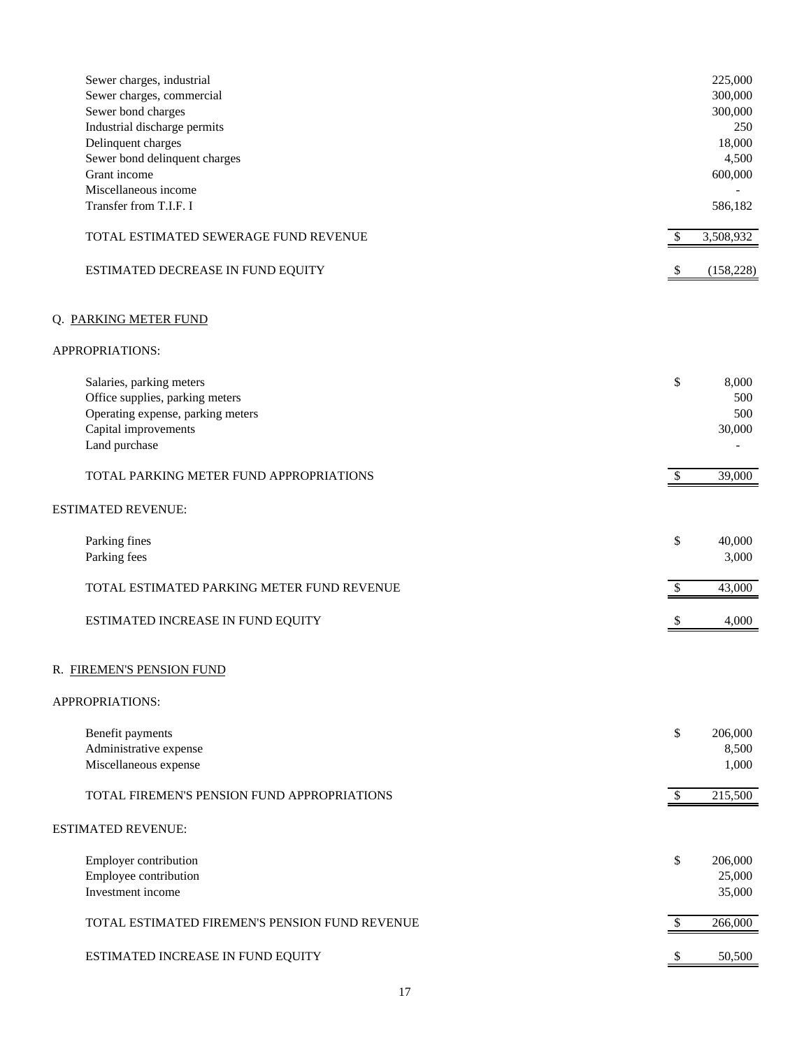| Sewer charges, industrial<br>Sewer charges, commercial<br>Sewer bond charges<br>Industrial discharge permits<br>Delinquent charges<br>Sewer bond delinquent charges<br>Grant income<br>Miscellaneous income<br>Transfer from T.I.F. I |                           | 225,000<br>300,000<br>300,000<br>250<br>18,000<br>4,500<br>600,000<br>586,182 |
|---------------------------------------------------------------------------------------------------------------------------------------------------------------------------------------------------------------------------------------|---------------------------|-------------------------------------------------------------------------------|
| TOTAL ESTIMATED SEWERAGE FUND REVENUE                                                                                                                                                                                                 | \$                        | 3,508,932                                                                     |
| ESTIMATED DECREASE IN FUND EQUITY                                                                                                                                                                                                     | $\boldsymbol{\mathsf{S}}$ | (158, 228)                                                                    |
| Q. PARKING METER FUND                                                                                                                                                                                                                 |                           |                                                                               |
| APPROPRIATIONS:                                                                                                                                                                                                                       |                           |                                                                               |
| Salaries, parking meters<br>Office supplies, parking meters<br>Operating expense, parking meters<br>Capital improvements<br>Land purchase                                                                                             | \$                        | 8,000<br>500<br>500<br>30,000                                                 |
| TOTAL PARKING METER FUND APPROPRIATIONS                                                                                                                                                                                               | $\mathcal{S}$             | 39,000                                                                        |
| <b>ESTIMATED REVENUE:</b>                                                                                                                                                                                                             |                           |                                                                               |
| Parking fines<br>Parking fees                                                                                                                                                                                                         | \$                        | 40,000<br>3,000                                                               |
| TOTAL ESTIMATED PARKING METER FUND REVENUE                                                                                                                                                                                            | \$                        | 43,000                                                                        |
| ESTIMATED INCREASE IN FUND EQUITY                                                                                                                                                                                                     | S                         | 4,000                                                                         |
| R. FIREMEN'S PENSION FUND                                                                                                                                                                                                             |                           |                                                                               |
| APPROPRIATIONS:                                                                                                                                                                                                                       |                           |                                                                               |
| Benefit payments<br>Administrative expense<br>Miscellaneous expense                                                                                                                                                                   | \$                        | 206,000<br>8,500<br>1,000                                                     |
| TOTAL FIREMEN'S PENSION FUND APPROPRIATIONS                                                                                                                                                                                           | \$                        | 215,500                                                                       |
| <b>ESTIMATED REVENUE:</b>                                                                                                                                                                                                             |                           |                                                                               |
| Employer contribution<br>Employee contribution<br>Investment income                                                                                                                                                                   | \$                        | 206,000<br>25,000<br>35,000                                                   |
| TOTAL ESTIMATED FIREMEN'S PENSION FUND REVENUE                                                                                                                                                                                        | \$                        | 266,000                                                                       |
| ESTIMATED INCREASE IN FUND EQUITY                                                                                                                                                                                                     |                           | 50,500                                                                        |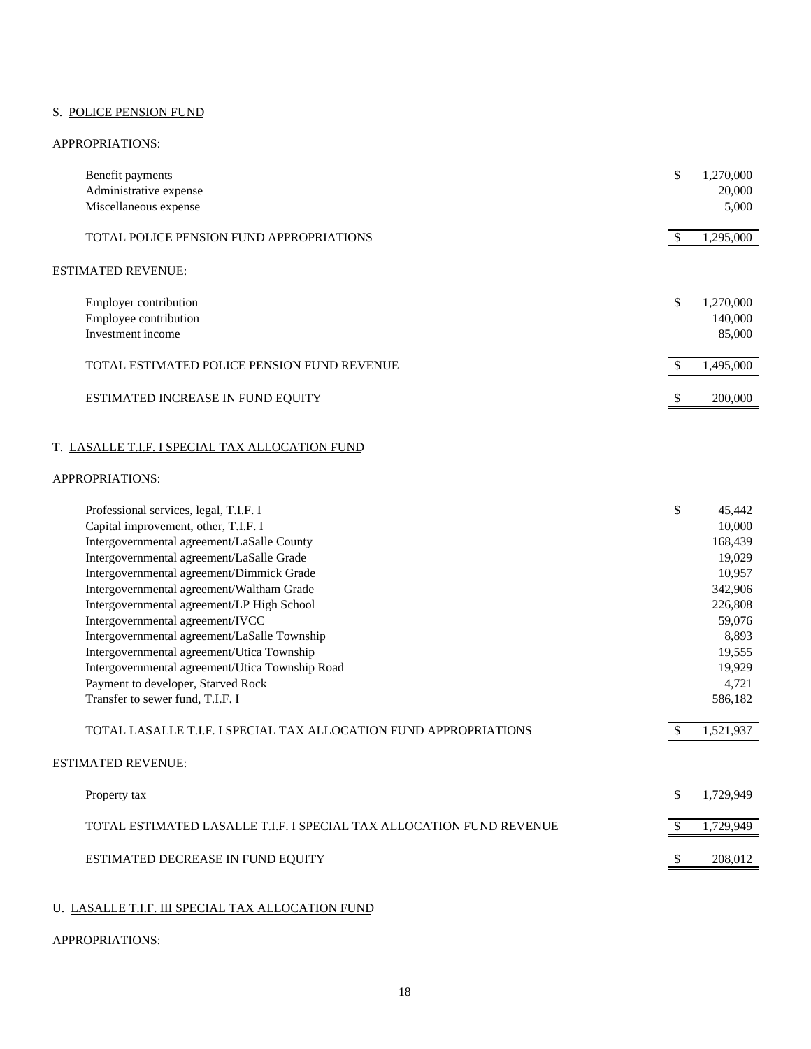# S. POLICE PENSION FUND

#### APPROPRIATIONS:

| Benefit payments<br>Administrative expense<br>Miscellaneous expense | \$<br>1,270,000<br>20,000<br>5,000   |
|---------------------------------------------------------------------|--------------------------------------|
| TOTAL POLICE PENSION FUND APPROPRIATIONS                            | 1,295,000                            |
| <b>ESTIMATED REVENUE:</b>                                           |                                      |
| Employer contribution<br>Employee contribution<br>Investment income | \$<br>1,270,000<br>140,000<br>85,000 |
| TOTAL ESTIMATED POLICE PENSION FUND REVENUE                         | 1,495,000                            |
| ESTIMATED INCREASE IN FUND EQUITY                                   | \$<br>200,000                        |

# T. LASALLE T.I.F. I SPECIAL TAX ALLOCATION FUND

# APPROPRIATIONS:

| Professional services, legal, T.I.F. I                               | \$<br>45,442    |
|----------------------------------------------------------------------|-----------------|
| Capital improvement, other, T.I.F. I                                 | 10,000          |
| Intergovernmental agreement/LaSalle County                           | 168,439         |
| Intergovernmental agreement/LaSalle Grade                            | 19,029          |
| Intergovernmental agreement/Dimmick Grade                            | 10,957          |
| Intergovernmental agreement/Waltham Grade                            | 342,906         |
| Intergovernmental agreement/LP High School                           | 226,808         |
| Intergovernmental agreement/IVCC                                     | 59,076          |
| Intergovernmental agreement/LaSalle Township                         | 8,893           |
| Intergovernmental agreement/Utica Township                           | 19,555          |
| Intergovernmental agreement/Utica Township Road                      | 19,929          |
| Payment to developer, Starved Rock                                   | 4,721           |
| Transfer to sewer fund, T.I.F. I                                     | 586,182         |
| TOTAL LASALLE T.I.F. I SPECIAL TAX ALLOCATION FUND APPROPRIATIONS    | 1,521,937       |
| <b>ESTIMATED REVENUE:</b>                                            |                 |
| Property tax                                                         | \$<br>1,729,949 |
| TOTAL ESTIMATED LASALLE T.I.F. I SPECIAL TAX ALLOCATION FUND REVENUE | 1,729,949       |
| ESTIMATED DECREASE IN FUND EQUITY                                    | 208,012         |
|                                                                      |                 |

# U. LASALLE T.I.F. III SPECIAL TAX ALLOCATION FUND

#### APPROPRIATIONS: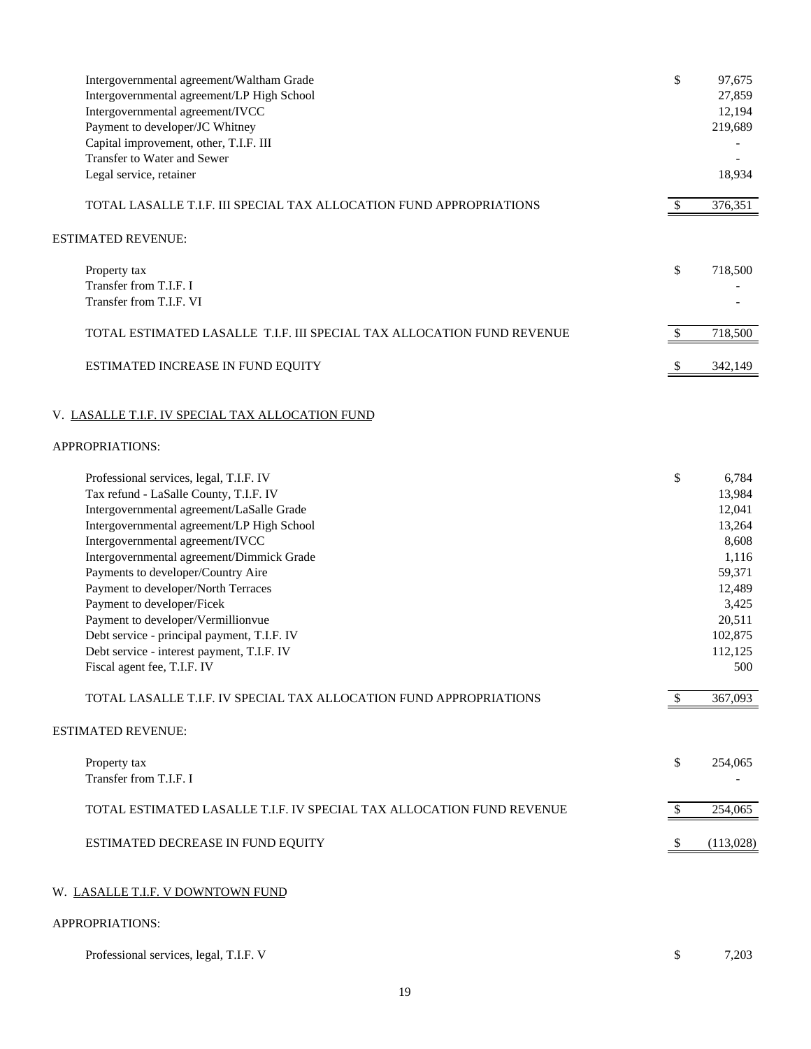| Intergovernmental agreement/Waltham Grade<br>Intergovernmental agreement/LP High School<br>Intergovernmental agreement/IVCC<br>Payment to developer/JC Whitney<br>Capital improvement, other, T.I.F. III<br>Transfer to Water and Sewer                                                                                                                                                                                                                                                                                                                                                                          | \$                  | 97,675<br>27,859<br>12,194<br>219,689                                                                                                |
|------------------------------------------------------------------------------------------------------------------------------------------------------------------------------------------------------------------------------------------------------------------------------------------------------------------------------------------------------------------------------------------------------------------------------------------------------------------------------------------------------------------------------------------------------------------------------------------------------------------|---------------------|--------------------------------------------------------------------------------------------------------------------------------------|
| Legal service, retainer                                                                                                                                                                                                                                                                                                                                                                                                                                                                                                                                                                                          |                     | 18,934                                                                                                                               |
| TOTAL LASALLE T.I.F. III SPECIAL TAX ALLOCATION FUND APPROPRIATIONS                                                                                                                                                                                                                                                                                                                                                                                                                                                                                                                                              | $\sqrt{3}$          | 376,351                                                                                                                              |
| ESTIMATED REVENUE:                                                                                                                                                                                                                                                                                                                                                                                                                                                                                                                                                                                               |                     |                                                                                                                                      |
| Property tax                                                                                                                                                                                                                                                                                                                                                                                                                                                                                                                                                                                                     | \$                  | 718,500                                                                                                                              |
| Transfer from T.I.F. I<br>Transfer from T.I.F. VI                                                                                                                                                                                                                                                                                                                                                                                                                                                                                                                                                                |                     |                                                                                                                                      |
| TOTAL ESTIMATED LASALLE T.I.F. III SPECIAL TAX ALLOCATION FUND REVENUE                                                                                                                                                                                                                                                                                                                                                                                                                                                                                                                                           | $\sqrt{3}$          | 718,500                                                                                                                              |
| ESTIMATED INCREASE IN FUND EQUITY                                                                                                                                                                                                                                                                                                                                                                                                                                                                                                                                                                                | -S                  | 342,149                                                                                                                              |
| V. LASALLE T.I.F. IV SPECIAL TAX ALLOCATION FUND                                                                                                                                                                                                                                                                                                                                                                                                                                                                                                                                                                 |                     |                                                                                                                                      |
| APPROPRIATIONS:                                                                                                                                                                                                                                                                                                                                                                                                                                                                                                                                                                                                  |                     |                                                                                                                                      |
| Professional services, legal, T.I.F. IV<br>Tax refund - LaSalle County, T.I.F. IV<br>Intergovernmental agreement/LaSalle Grade<br>Intergovernmental agreement/LP High School<br>Intergovernmental agreement/IVCC<br>Intergovernmental agreement/Dimmick Grade<br>Payments to developer/Country Aire<br>Payment to developer/North Terraces<br>Payment to developer/Ficek<br>Payment to developer/Vermillionvue<br>Debt service - principal payment, T.I.F. IV<br>Debt service - interest payment, T.I.F. IV<br>Fiscal agent fee, T.I.F. IV<br>TOTAL LASALLE T.I.F. IV SPECIAL TAX ALLOCATION FUND APPROPRIATIONS | \$<br>$\mathcal{S}$ | 6,784<br>13,984<br>12,041<br>13,264<br>8,608<br>1,116<br>59,371<br>12,489<br>3,425<br>20,511<br>102,875<br>112,125<br>500<br>367,093 |
|                                                                                                                                                                                                                                                                                                                                                                                                                                                                                                                                                                                                                  |                     |                                                                                                                                      |
| <b>ESTIMATED REVENUE:</b>                                                                                                                                                                                                                                                                                                                                                                                                                                                                                                                                                                                        |                     |                                                                                                                                      |
| Property tax<br>Transfer from T.I.F. I                                                                                                                                                                                                                                                                                                                                                                                                                                                                                                                                                                           | $\mathcal{S}$       | 254,065                                                                                                                              |
| TOTAL ESTIMATED LASALLE T.I.F. IV SPECIAL TAX ALLOCATION FUND REVENUE                                                                                                                                                                                                                                                                                                                                                                                                                                                                                                                                            | $\sqrt{3}$          | 254,065                                                                                                                              |
| ESTIMATED DECREASE IN FUND EQUITY                                                                                                                                                                                                                                                                                                                                                                                                                                                                                                                                                                                | <sup>2</sup>        | (113,028)                                                                                                                            |
| W. LASALLE T.I.F. V DOWNTOWN FUND                                                                                                                                                                                                                                                                                                                                                                                                                                                                                                                                                                                |                     |                                                                                                                                      |
| APPROPRIATIONS:                                                                                                                                                                                                                                                                                                                                                                                                                                                                                                                                                                                                  |                     |                                                                                                                                      |
| Professional services, legal, T.I.F. V                                                                                                                                                                                                                                                                                                                                                                                                                                                                                                                                                                           | \$                  | 7,203                                                                                                                                |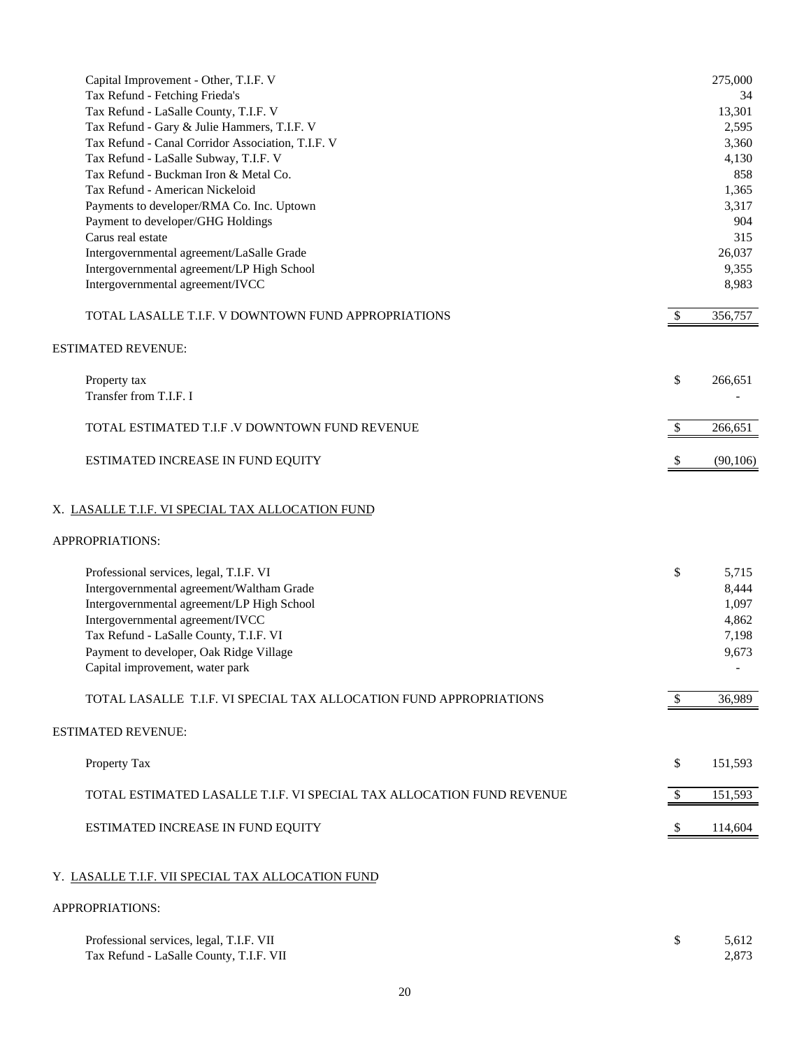| Capital Improvement - Other, T.I.F. V<br>Tax Refund - Fetching Frieda's<br>Tax Refund - LaSalle County, T.I.F. V<br>Tax Refund - Gary & Julie Hammers, T.I.F. V<br>Tax Refund - Canal Corridor Association, T.I.F. V<br>Tax Refund - LaSalle Subway, T.I.F. V<br>Tax Refund - Buckman Iron & Metal Co.<br>Tax Refund - American Nickeloid<br>Payments to developer/RMA Co. Inc. Uptown<br>Payment to developer/GHG Holdings<br>Carus real estate<br>Intergovernmental agreement/LaSalle Grade<br>Intergovernmental agreement/LP High School<br>Intergovernmental agreement/IVCC |               | 275,000<br>34<br>13,301<br>2,595<br>3,360<br>4,130<br>858<br>1,365<br>3,317<br>904<br>315<br>26,037<br>9,355<br>8,983 |
|---------------------------------------------------------------------------------------------------------------------------------------------------------------------------------------------------------------------------------------------------------------------------------------------------------------------------------------------------------------------------------------------------------------------------------------------------------------------------------------------------------------------------------------------------------------------------------|---------------|-----------------------------------------------------------------------------------------------------------------------|
| TOTAL LASALLE T.I.F. V DOWNTOWN FUND APPROPRIATIONS                                                                                                                                                                                                                                                                                                                                                                                                                                                                                                                             | $\mathcal{S}$ | 356,757                                                                                                               |
| <b>ESTIMATED REVENUE:</b>                                                                                                                                                                                                                                                                                                                                                                                                                                                                                                                                                       |               |                                                                                                                       |
| Property tax<br>Transfer from T.I.F. I                                                                                                                                                                                                                                                                                                                                                                                                                                                                                                                                          | \$            | 266,651                                                                                                               |
| TOTAL ESTIMATED T.I.F .V DOWNTOWN FUND REVENUE                                                                                                                                                                                                                                                                                                                                                                                                                                                                                                                                  | \$            | 266,651                                                                                                               |
| ESTIMATED INCREASE IN FUND EQUITY                                                                                                                                                                                                                                                                                                                                                                                                                                                                                                                                               |               | (90, 106)                                                                                                             |
| X. LASALLE T.I.F. VI SPECIAL TAX ALLOCATION FUND                                                                                                                                                                                                                                                                                                                                                                                                                                                                                                                                |               |                                                                                                                       |
| APPROPRIATIONS:                                                                                                                                                                                                                                                                                                                                                                                                                                                                                                                                                                 |               |                                                                                                                       |
| Professional services, legal, T.I.F. VI<br>Intergovernmental agreement/Waltham Grade<br>Intergovernmental agreement/LP High School<br>Intergovernmental agreement/IVCC<br>Tax Refund - LaSalle County, T.I.F. VI<br>Payment to developer, Oak Ridge Village<br>Capital improvement, water park<br>TOTAL LASALLE T.I.F. VI SPECIAL TAX ALLOCATION FUND APPROPRIATIONS                                                                                                                                                                                                            | \$<br>\$      | 5,715<br>8,444<br>1,097<br>4,862<br>7,198<br>9,673<br>36,989                                                          |
| <b>ESTIMATED REVENUE:</b>                                                                                                                                                                                                                                                                                                                                                                                                                                                                                                                                                       |               |                                                                                                                       |
| Property Tax                                                                                                                                                                                                                                                                                                                                                                                                                                                                                                                                                                    | \$            | 151,593                                                                                                               |
| TOTAL ESTIMATED LASALLE T.I.F. VI SPECIAL TAX ALLOCATION FUND REVENUE                                                                                                                                                                                                                                                                                                                                                                                                                                                                                                           | \$            | 151,593                                                                                                               |
|                                                                                                                                                                                                                                                                                                                                                                                                                                                                                                                                                                                 |               |                                                                                                                       |
| ESTIMATED INCREASE IN FUND EQUITY                                                                                                                                                                                                                                                                                                                                                                                                                                                                                                                                               | \$            | 114,604                                                                                                               |
| Y. LASALLE T.I.F. VII SPECIAL TAX ALLOCATION FUND                                                                                                                                                                                                                                                                                                                                                                                                                                                                                                                               |               |                                                                                                                       |
| APPROPRIATIONS:                                                                                                                                                                                                                                                                                                                                                                                                                                                                                                                                                                 |               |                                                                                                                       |

| Professional services, legal, T.I.F. VII | 5,612 |
|------------------------------------------|-------|
| Tax Refund - LaSalle County, T.I.F. VII  | 2.873 |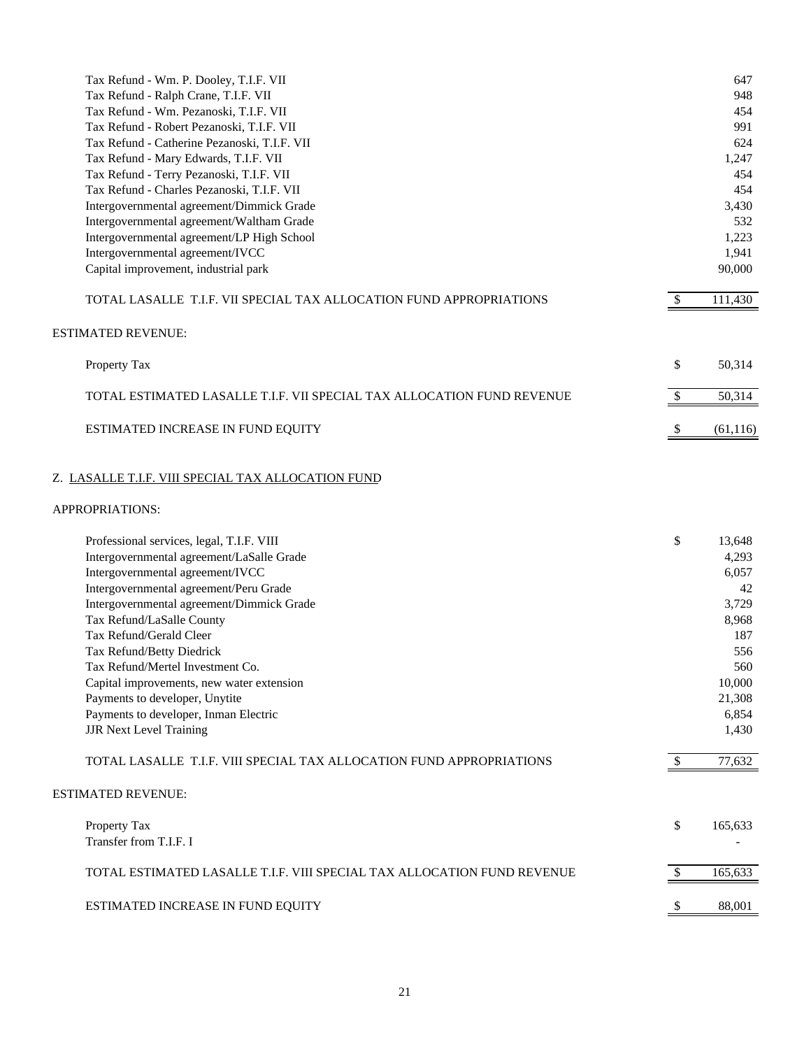| Tax Refund - Wm. P. Dooley, T.I.F. VII                                 |               | 647       |
|------------------------------------------------------------------------|---------------|-----------|
| Tax Refund - Ralph Crane, T.I.F. VII                                   |               | 948       |
| Tax Refund - Wm. Pezanoski, T.I.F. VII                                 |               | 454       |
| Tax Refund - Robert Pezanoski, T.I.F. VII                              |               | 991       |
| Tax Refund - Catherine Pezanoski, T.I.F. VII                           |               | 624       |
| Tax Refund - Mary Edwards, T.I.F. VII                                  |               | 1,247     |
| Tax Refund - Terry Pezanoski, T.I.F. VII                               |               | 454       |
| Tax Refund - Charles Pezanoski, T.I.F. VII                             |               | 454       |
| Intergovernmental agreement/Dimmick Grade                              |               | 3,430     |
| Intergovernmental agreement/Waltham Grade                              |               | 532       |
| Intergovernmental agreement/LP High School                             |               | 1,223     |
| Intergovernmental agreement/IVCC                                       |               | 1,941     |
| Capital improvement, industrial park                                   |               | 90,000    |
| TOTAL LASALLE T.I.F. VII SPECIAL TAX ALLOCATION FUND APPROPRIATIONS    | <sup>\$</sup> | 111,430   |
| ESTIMATED REVENUE:                                                     |               |           |
| Property Tax                                                           | \$            | 50,314    |
| TOTAL ESTIMATED LASALLE T.I.F. VII SPECIAL TAX ALLOCATION FUND REVENUE | $\mathcal{S}$ | 50,314    |
| ESTIMATED INCREASE IN FUND EQUITY                                      | $\mathcal{S}$ | (61, 116) |
| Z. LASALLE T.I.F. VIII SPECIAL TAX ALLOCATION FUND                     |               |           |
| APPROPRIATIONS:                                                        |               |           |
| Professional services, legal, T.I.F. VIII                              | \$            | 13,648    |
| Intergovernmental agreement/LaSalle Grade                              |               | 4,293     |
| Intergovernmental agreement/IVCC                                       |               | 6,057     |
| Intergovernmental agreement/Peru Grade                                 |               | 42        |
| Intergovernmental agreement/Dimmick Grade                              |               | 3,729     |
| Tax Refund/LaSalle County                                              |               | 8,968     |
| Tax Refund/Gerald Cleer                                                |               | 187       |
| Tax Refund/Betty Diedrick                                              |               | 556       |

| Payments to developer, Inman Electric<br><b>JJR Next Level Training</b> | 6,854<br>1,430 |
|-------------------------------------------------------------------------|----------------|
| TOTAL LASALLE T.I.F. VIII SPECIAL TAX ALLOCATION FUND APPROPRIATIONS    | 77,632         |
| <b>ESTIMATED REVENUE:</b>                                               |                |
| Property Tax<br>Transfer from T.I.F. I                                  | \$<br>165,633  |
| TOTAL ESTIMATED LASALLE T.I.F. VIII SPECIAL TAX ALLOCATION FUND REVENUE | 165,633        |
| ESTIMATED INCREASE IN FUND EQUITY                                       | 88,001         |

Tax Refund/Mertel Investment Co. 560 Capital improvements, new water extension 10,000 Payments to developer, Unytite 21,308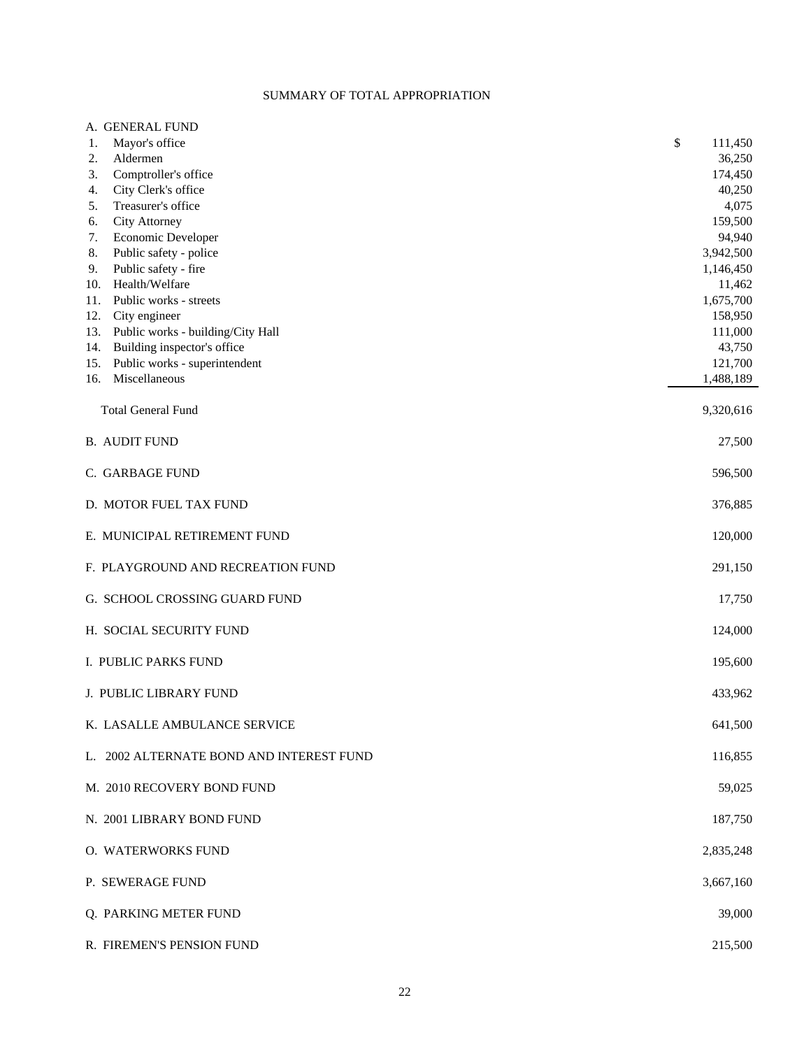# SUMMARY OF TOTAL APPROPRIATION

| A. GENERAL FUND                          |               |
|------------------------------------------|---------------|
| Mayor's office<br>1.                     | \$<br>111,450 |
| Aldermen<br>2.                           | 36,250        |
| Comptroller's office<br>3.               | 174,450       |
| City Clerk's office<br>4.                | 40,250        |
| Treasurer's office<br>5.                 | 4,075         |
| <b>City Attorney</b><br>6.               | 159,500       |
| 7.<br>Economic Developer                 | 94,940        |
| 8.<br>Public safety - police             | 3,942,500     |
| 9.<br>Public safety - fire               | 1,146,450     |
| Health/Welfare<br>10.                    | 11,462        |
| Public works - streets<br>11.            | 1,675,700     |
| City engineer<br>12.                     | 158,950       |
| Public works - building/City Hall<br>13. | 111,000       |
| Building inspector's office<br>14.       | 43,750        |
| Public works - superintendent<br>15.     | 121,700       |
| Miscellaneous<br>16.                     | 1,488,189     |
|                                          |               |
| <b>Total General Fund</b>                | 9,320,616     |
|                                          |               |
| <b>B. AUDIT FUND</b>                     | 27,500        |
|                                          |               |
| C. GARBAGE FUND                          | 596,500       |
|                                          |               |
| D. MOTOR FUEL TAX FUND                   | 376,885       |
|                                          |               |
| E. MUNICIPAL RETIREMENT FUND             | 120,000       |
|                                          |               |
| F. PLAYGROUND AND RECREATION FUND        | 291,150       |
|                                          |               |
| G. SCHOOL CROSSING GUARD FUND            | 17,750        |
|                                          |               |
| H. SOCIAL SECURITY FUND                  | 124,000       |
|                                          |               |
| I. PUBLIC PARKS FUND                     | 195,600       |
|                                          |               |
| J. PUBLIC LIBRARY FUND                   | 433,962       |
|                                          |               |
| K. LASALLE AMBULANCE SERVICE             | 641,500       |
|                                          |               |
| L. 2002 ALTERNATE BOND AND INTEREST FUND | 116,855       |
|                                          |               |
| M. 2010 RECOVERY BOND FUND               | 59,025        |
|                                          |               |
| N. 2001 LIBRARY BOND FUND                | 187,750       |
|                                          |               |
|                                          |               |
| O. WATERWORKS FUND                       | 2,835,248     |
|                                          |               |
| P. SEWERAGE FUND                         | 3,667,160     |
|                                          |               |
| Q. PARKING METER FUND                    | 39,000        |
|                                          |               |
| R. FIREMEN'S PENSION FUND                | 215,500       |